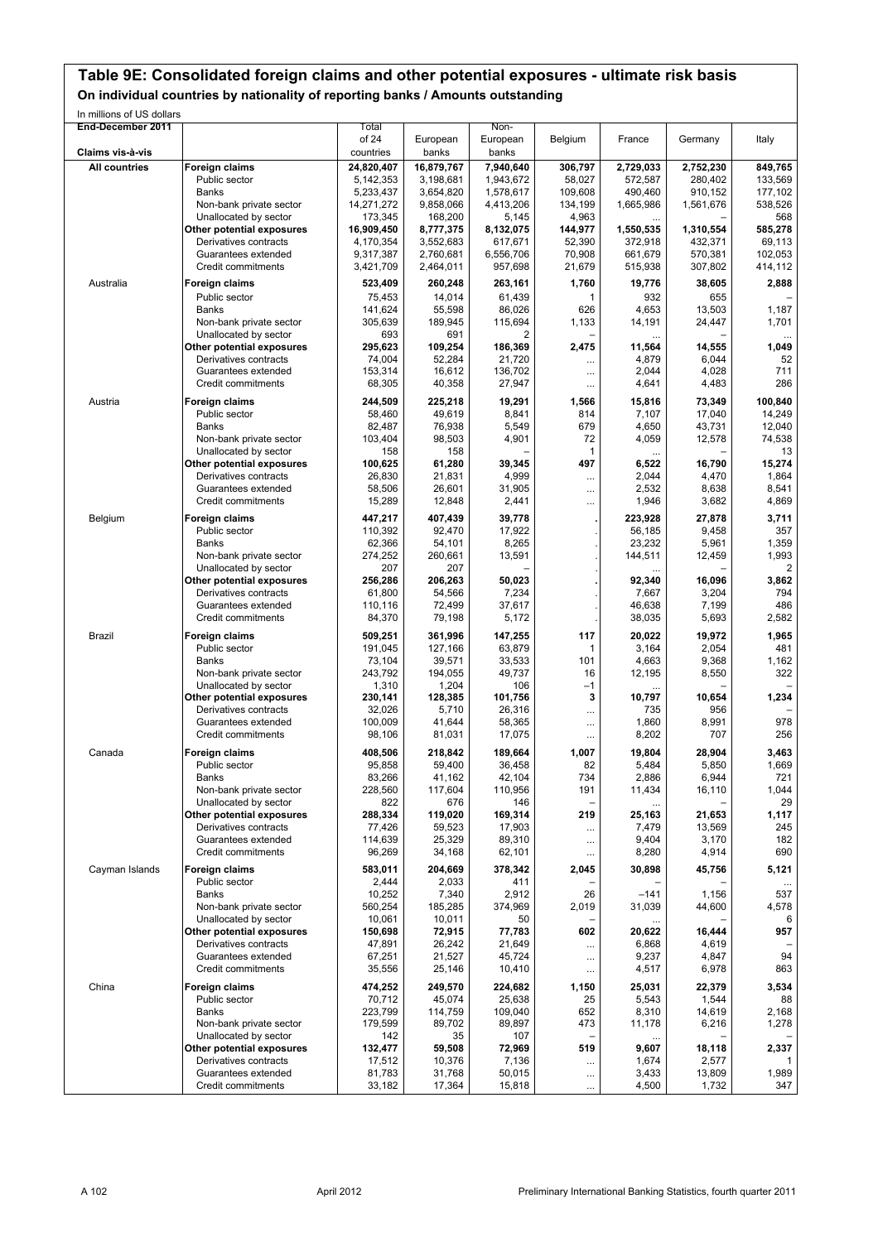# **Table 9E: Consolidated foreign claims and other potential exposures - ultimate risk basis**

**On individual countries by nationality of reporting banks / Amounts outstanding**

In millions of US dollars

| End-December 2011    |                                                    | Total<br>of 24         | European               | Non-<br>European       | Belgium           | France             | Germany            | Italy              |
|----------------------|----------------------------------------------------|------------------------|------------------------|------------------------|-------------------|--------------------|--------------------|--------------------|
| Claims vis-à-vis     |                                                    | countries              | banks                  | banks                  |                   |                    |                    |                    |
| <b>All countries</b> | Foreign claims                                     | 24,820,407             | 16,879,767             | 7,940,640              | 306,797           | 2,729,033          | 2,752,230          | 849,765            |
|                      | Public sector<br>Banks                             | 5,142,353<br>5,233,437 | 3,198,681<br>3,654,820 | 1,943,672<br>1,578,617 | 58,027<br>109,608 | 572,587<br>490,460 | 280,402<br>910,152 | 133,569<br>177,102 |
|                      | Non-bank private sector                            | 14,271,272             | 9,858,066              | 4,413,206              | 134,199           | 1,665,986          | 1,561,676          | 538,526            |
|                      | Unallocated by sector                              | 173,345                | 168,200                | 5,145                  | 4,963             |                    |                    | 568                |
|                      | Other potential exposures                          | 16,909,450             | 8,777,375              | 8,132,075              | 144,977           | 1,550,535          | 1,310,554          | 585,278            |
|                      | Derivatives contracts                              | 4,170,354              | 3,552,683              | 617,671                | 52,390            | 372,918            | 432,371            | 69,113             |
|                      | Guarantees extended                                | 9,317,387              | 2,760,681              | 6,556,706              | 70,908            | 661,679            | 570,381            | 102,053            |
|                      | Credit commitments                                 | 3,421,709              | 2,464,011              | 957,698                | 21,679            | 515,938            | 307,802            | 414,112            |
| Australia            | Foreign claims                                     | 523,409                | 260,248                | 263,161                | 1,760             | 19,776             | 38,605             | 2,888              |
|                      | Public sector                                      | 75,453                 | 14.014                 | 61,439                 | 1                 | 932                | 655                |                    |
|                      | Banks                                              | 141,624                | 55,598                 | 86,026                 | 626               | 4,653              | 13,503             | 1,187              |
|                      | Non-bank private sector                            | 305,639                | 189,945                | 115,694                | 1,133             | 14,191             | 24,447             | 1,701              |
|                      | Unallocated by sector                              | 693                    | 691                    | 2                      |                   |                    |                    |                    |
|                      | Other potential exposures                          | 295,623                | 109,254                | 186,369                | 2,475             | 11,564             | 14,555             | 1,049              |
|                      | Derivatives contracts                              | 74,004                 | 52,284                 | 21,720                 |                   | 4,879              | 6,044              | 52<br>711          |
|                      | Guarantees extended<br>Credit commitments          | 153,314<br>68,305      | 16,612<br>40,358       | 136,702<br>27,947      |                   | 2,044<br>4,641     | 4,028<br>4,483     | 286                |
|                      |                                                    |                        |                        |                        |                   |                    |                    |                    |
| Austria              | Foreign claims                                     | 244,509                | 225,218                | 19,291                 | 1,566             | 15,816             | 73,349             | 100,840            |
|                      | Public sector                                      | 58,460                 | 49,619                 | 8,841                  | 814               | 7,107              | 17,040             | 14,249             |
|                      | Banks                                              | 82,487                 | 76,938                 | 5,549                  | 679               | 4,650              | 43,731             | 12,040             |
|                      | Non-bank private sector<br>Unallocated by sector   | 103,404<br>158         | 98,503<br>158          | 4,901                  | 72<br>1           | 4,059              | 12,578             | 74,538<br>13       |
|                      | Other potential exposures                          | 100.625                | 61,280                 | 39,345                 | 497               | <br>6,522          | 16,790             | 15,274             |
|                      | Derivatives contracts                              | 26,830                 | 21,831                 | 4,999                  | $\cdots$          | 2,044              | 4,470              | 1,864              |
|                      | Guarantees extended                                | 58,506                 | 26,601                 | 31,905                 |                   | 2,532              | 8,638              | 8,541              |
|                      | Credit commitments                                 | 15,289                 | 12,848                 | 2,441                  | $\cdots$          | 1,946              | 3,682              | 4,869              |
| Belgium              | <b>Foreign claims</b>                              | 447.217                | 407,439                | 39,778                 |                   | 223,928            | 27,878             | 3,711              |
|                      | Public sector                                      | 110,392                | 92,470                 | 17,922                 |                   | 56,185             | 9,458              | 357                |
|                      | <b>Banks</b>                                       | 62,366                 | 54,101                 | 8,265                  |                   | 23,232             | 5,961              | 1,359              |
|                      | Non-bank private sector                            | 274,252                | 260,661                | 13,591                 |                   | 144,511            | 12,459             | 1,993              |
|                      | Unallocated by sector                              | 207                    | 207                    |                        |                   |                    |                    |                    |
|                      | Other potential exposures                          | 256,286                | 206,263                | 50,023                 |                   | 92,340             | 16,096             | 3,862              |
|                      | Derivatives contracts                              | 61,800                 | 54,566                 | 7,234                  |                   | 7,667              | 3,204              | 794                |
|                      | Guarantees extended                                | 110,116                | 72,499                 | 37,617                 |                   | 46,638             | 7,199              | 486                |
|                      | Credit commitments                                 | 84,370                 | 79,198                 | 5,172                  |                   | 38,035             | 5,693              | 2,582              |
| <b>Brazil</b>        | Foreign claims                                     | 509,251                | 361,996                | 147,255                | 117               | 20,022             | 19,972             | 1,965              |
|                      | Public sector                                      | 191,045                | 127,166                | 63,879                 | 1                 | 3,164              | 2,054              | 481                |
|                      | Banks                                              | 73,104                 | 39,571                 | 33,533                 | 101               | 4,663              | 9,368              | 1,162              |
|                      | Non-bank private sector                            | 243,792                | 194,055                | 49,737                 | 16                | 12,195             | 8,550              | 322                |
|                      | Unallocated by sector                              | 1,310                  | 1,204                  | 106                    | $-1$              |                    |                    |                    |
|                      | Other potential exposures                          | 230,141                | 128,385                | 101,756                | 3                 | 10,797             | 10,654             | 1,234              |
|                      | Derivatives contracts                              | 32,026                 | 5,710                  | 26,316                 | $\cdots$          | 735                | 956                |                    |
|                      | Guarantees extended<br>Credit commitments          | 100,009<br>98,106      | 41,644                 | 58,365                 |                   | 1,860              | 8,991<br>707       | 978<br>256         |
|                      |                                                    |                        | 81,031                 | 17,075                 | $\cdots$          | 8,202              |                    |                    |
| Canada               | <b>Foreign claims</b>                              | 408,506                | 218,842                | 189,664                | 1,007             | 19,804             | 28,904             | 3,463              |
|                      | Public sector                                      | 95,858                 | 59,400                 | 36,458                 | 82                | 5,484              | 5,850              | 1,669              |
|                      | Banks                                              | 83,266                 | 41,162                 | 42,104                 | 734               | 2,886              | 6,944              | 721                |
|                      | Non-bank private sector                            | 228,560<br>822         | 117,604<br>676         | 110,956<br>146         | 191               | 11,434             | 16,110             | 1,044<br>29        |
|                      | Unallocated by sector<br>Other potential exposures | 288,334                | 119,020                | 169,314                | 219               | 25,163             | 21,653             | 1,117              |
|                      | Derivatives contracts                              | 77,426                 | 59,523                 | 17,903                 |                   | 7,479              | 13,569             | 245                |
|                      | Guarantees extended                                | 114,639                | 25,329                 | 89,310                 | <br>$\cdots$      | 9,404              | 3,170              | 182                |
|                      | Credit commitments                                 | 96,269                 | 34,168                 | 62,101                 |                   | 8,280              | 4,914              | 690                |
|                      |                                                    |                        |                        |                        |                   |                    |                    |                    |
| Cayman Islands       | <b>Foreign claims</b><br>Public sector             | 583,011<br>2,444       | 204,669<br>2,033       | 378,342                | 2,045             | 30,898             | 45,756             | 5,121              |
|                      | Banks                                              | 10,252                 | 7,340                  | 411<br>2,912           | 26                | $-141$             | 1,156              | 537                |
|                      | Non-bank private sector                            | 560,254                | 185,285                | 374,969                | 2,019             | 31,039             | 44,600             | 4,578              |
|                      | Unallocated by sector                              | 10,061                 | 10,011                 | 50                     |                   | $\cdots$           |                    |                    |
|                      | Other potential exposures                          | 150,698                | 72,915                 | 77,783                 | 602               | 20,622             | 16,444             | 957                |
|                      | Derivatives contracts                              | 47,891                 | 26,242                 | 21,649                 |                   | 6,868              | 4,619              |                    |
|                      | Guarantees extended                                | 67,251                 | 21,527                 | 45,724                 | $\cdots$          | 9,237              | 4,847              | 94                 |
|                      | Credit commitments                                 | 35,556                 | 25,146                 | 10,410                 | $\cdots$          | 4,517              | 6,978              | 863                |
| China                | <b>Foreign claims</b>                              | 474,252                | 249,570                | 224,682                | 1,150             | 25,031             | 22,379             | 3,534              |
|                      | Public sector                                      | 70,712                 | 45,074                 | 25,638                 | 25                | 5,543              | 1,544              | 88                 |
|                      | <b>Banks</b>                                       | 223,799                | 114,759                | 109,040                | 652               | 8,310              | 14,619             | 2,168              |
|                      | Non-bank private sector                            | 179,599                | 89,702                 | 89,897                 | 473               | 11,178             | 6,216              | 1,278              |
|                      | Unallocated by sector                              | 142                    | 35                     | 107                    |                   |                    |                    |                    |
|                      | Other potential exposures                          | 132,477                | 59,508                 | 72,969                 | 519               | 9,607              | 18,118             | 2,337              |
|                      | Derivatives contracts                              | 17,512                 | 10,376                 | 7,136                  | $\cdots$          | 1,674              | 2,577              |                    |
|                      | Guarantees extended                                | 81,783                 | 31,768                 | 50,015                 | $\cdots$          | 3,433              | 13,809             | 1,989              |
|                      | Credit commitments                                 | 33,182                 | 17,364                 | 15,818                 |                   | 4,500              | 1,732              | 347                |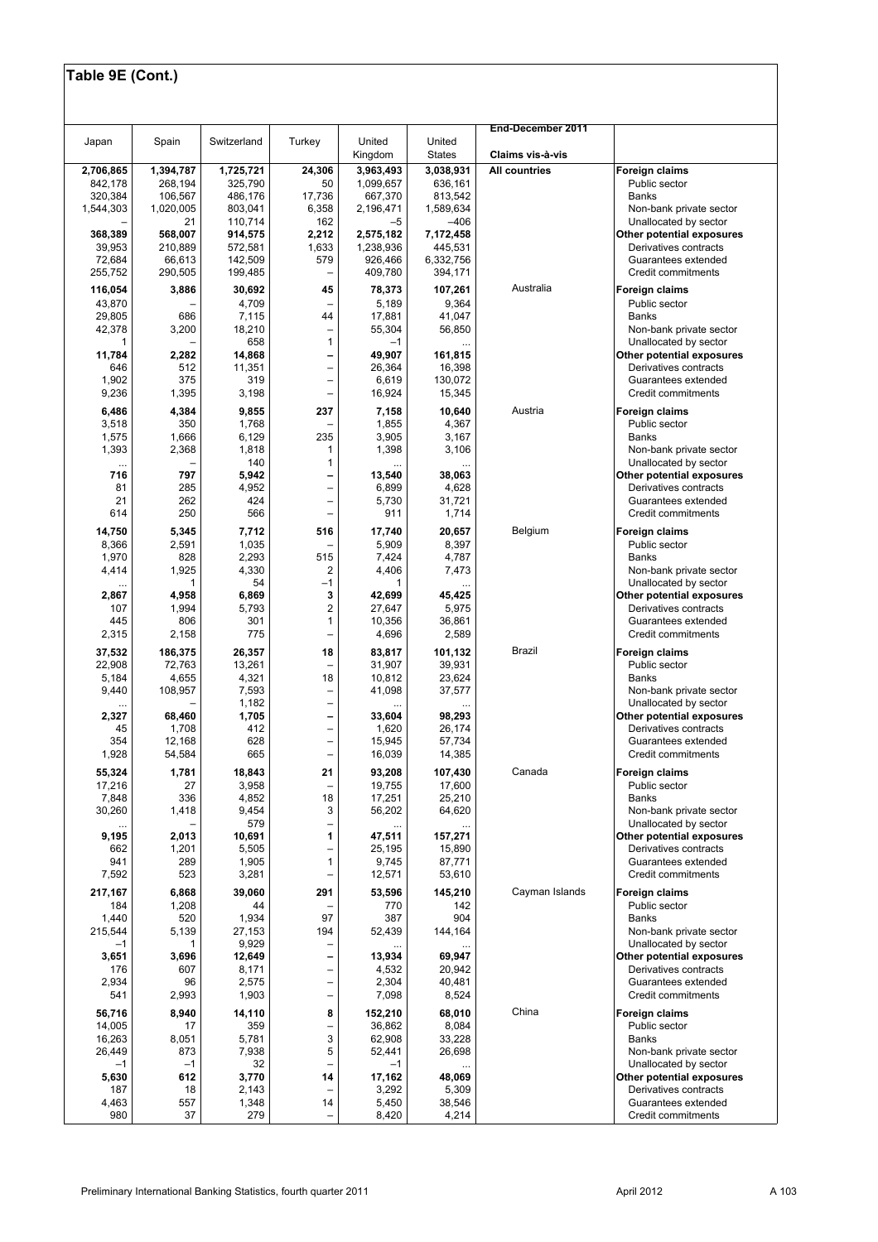| United<br>Spain<br>Switzerland<br>Turkey<br>United<br>Japan<br><b>States</b><br>Kingdom<br>Claims vis-à-vis<br>24,306<br><b>All countries</b><br>Foreign claims<br>2,706,865<br>1,394,787<br>1,725,721<br>3,963,493<br>3,038,931<br>268,194<br>325,790<br>50<br>636,161<br>Public sector<br>842,178<br>1,099,657<br>106,567<br>486,176<br>320,384<br>17,736<br>667,370<br>813,542<br><b>Banks</b><br>1,020,005<br>803.041<br>6,358<br>1,589,634<br>1,544,303<br>2,196,471<br>Non-bank private sector<br>110,714<br>162<br>$-5$<br>$-406$<br>Unallocated by sector<br>21<br>368,389<br>568,007<br>914,575<br>2,212<br>7,172,458<br>2,575,182<br>Other potential exposures<br>39,953<br>210,889<br>1,633<br>1,238,936<br>445,531<br>572,581<br>Derivatives contracts<br>142,509<br>72.684<br>66,613<br>579<br>926,466<br>6,332,756<br>Guarantees extended<br>255,752<br>290,505<br>199,485<br>409,780<br>394,171<br>Credit commitments<br>$\overline{\phantom{0}}$<br>Australia<br>3,886<br>30,692<br>45<br>78,373<br>107,261<br>116,054<br><b>Foreign claims</b><br>43,870<br>4,709<br>5,189<br>9,364<br>Public sector<br>-<br>29,805<br>686<br>7,115<br>44<br>17,881<br>41,047<br><b>Banks</b><br>18,210<br>42,378<br>3,200<br>55,304<br>56,850<br>Non-bank private sector<br>$\overline{\phantom{0}}$<br>$\mathbf{1}$<br>658<br>$-1$<br>Unallocated by sector<br>1<br>11,784<br>14,868<br>49,907<br>2,282<br>161,815<br>Other potential exposures<br>-<br>11,351<br>16,398<br>646<br>512<br>$\overline{\phantom{0}}$<br>26,364<br>Derivatives contracts<br>1,902<br>375<br>319<br>6,619<br>130,072<br>$\overline{\phantom{0}}$<br>Guarantees extended<br>9,236<br>1,395<br>3,198<br>16,924<br>15,345<br>Credit commitments<br>$\overline{\phantom{0}}$<br>Austria<br>4,384<br>9,855<br>237<br>10,640<br>6,486<br>7,158<br><b>Foreign claims</b><br>3,518<br>350<br>1,768<br>1,855<br>4,367<br>Public sector<br>235<br>1,666<br>6,129<br>3,905<br>1,575<br>3,167<br><b>Banks</b><br>1,818<br>1,398<br>3,106<br>1,393<br>2,368<br>1<br>Non-bank private sector<br>$\mathbf{1}$<br>140<br>Unallocated by sector<br><br><br>716<br>797<br>5,942<br>13,540<br>38,063<br>-<br>Other potential exposures<br>81<br>285<br>4,952<br>6,899<br>4,628<br>$\overline{\phantom{0}}$<br>Derivatives contracts<br>21<br>262<br>424<br>5,730<br>31,721<br>Guarantees extended<br>$\qquad \qquad -$<br>614<br>250<br>566<br>911<br>1,714<br>Credit commitments<br>-<br>Belgium<br>516<br>14,750<br>5,345<br>7,712<br>17,740<br>20,657<br>Foreign claims<br>8,366<br>2,591<br>1,035<br>5,909<br>8,397<br>Public sector<br>515<br>1,970<br>828<br>2,293<br>7,424<br>4,787<br><b>Banks</b><br>4,414<br>1,925<br>4,330<br>2<br>4,406<br>7,473<br>Non-bank private sector<br>54<br>$-1$<br>$\mathbf{1}$<br>1<br>Unallocated by sector<br>$\ddotsc$<br>4,958<br>3<br>2,867<br>6,869<br>42,699<br>45,425<br>Other potential exposures<br>2<br>1,994<br>5,793<br>5,975<br>107<br>27,647<br>Derivatives contracts<br>806<br>301<br>$\mathbf{1}$<br>36,861<br>445<br>10,356<br>Guarantees extended<br>2,315<br>775<br>4,696<br>2,589<br>2,158<br>Credit commitments<br>$\overline{\phantom{0}}$<br>Brazil<br>37,532<br>186,375<br>26,357<br>18<br>101,132<br>83,817<br>Foreign claims<br>22,908<br>13,261<br>31,907<br>39,931<br>Public sector<br>72,763<br>-<br>5,184<br>4,655<br>4,321<br>18<br>10,812<br>23,624<br><b>Banks</b><br>7,593<br>41,098<br>9,440<br>108,957<br>37,577<br>Non-bank private sector<br>$\qquad \qquad -$<br>1,182<br>Unallocated by sector<br>-<br>$\overline{\phantom{0}}$<br>1,705<br>98,293<br>Other potential exposures<br>2,327<br>68,460<br>33,604<br>$\overline{a}$<br>412<br>Derivatives contracts<br>1,708<br>1,620<br>26.174<br>45<br>354<br>12,168<br>628<br>15,945<br>57,734<br>Guarantees extended<br>-<br>665<br>1,928<br>54,584<br>16,039<br>14,385<br>Credit commitments<br>$\overline{\phantom{0}}$<br>55,324<br>1,781<br>18,843<br>21<br>93,208<br>107,430<br>Canada<br>Foreign claims<br>17,216<br>3,958<br>19,755<br>27<br>17,600<br>Public sector<br>7,848<br>336<br>4,852<br>18<br>17,251<br>25,210<br>Banks<br>30,260<br>1,418<br>9,454<br>3<br>56,202<br>64,620<br>Non-bank private sector<br>579<br>Unallocated by sector<br>-<br><br>1<br>9,195<br>2,013<br>10,691<br>47,511<br>157,271<br>Other potential exposures<br>662<br>1,201<br>5,505<br>25,195<br>15,890<br>Derivatives contracts<br>-<br>$\mathbf{1}$<br>1,905<br>941<br>289<br>9,745<br>87,771<br>Guarantees extended<br>523<br>3,281<br>7,592<br>12,571<br>53,610<br>Credit commitments<br>$\overline{\phantom{0}}$<br>Cayman Islands<br>6,868<br>39,060<br>291<br>145,210<br>217,167<br>53,596<br>Foreign claims<br>1,208<br>184<br>770<br>142<br>Public sector<br>44<br>1,440<br>520<br>1,934<br>97<br>387<br>904<br>Banks<br>215,544<br>5,139<br>27,153<br>194<br>52,439<br>144,164<br>Non-bank private sector<br>9,929<br>Unallocated by sector<br>$-1$<br>1<br>3,696<br>12,649<br>3,651<br>13,934<br>69,947<br>Other potential exposures<br>-<br>607<br>8,171<br>4,532<br>20,942<br>176<br>Derivatives contracts<br>-<br>2,934<br>2,575<br>96<br>2,304<br>40,481<br>Guarantees extended<br>-<br>541<br>2,993<br>1,903<br>$\overline{a}$<br>7,098<br>8,524<br>Credit commitments<br>China<br>8<br>56,716<br>8,940<br>14,110<br>68,010<br>152,210<br>Foreign claims<br>14,005<br>17<br>359<br>36,862<br>8,084<br>Public sector<br>-<br>3<br>16,263<br>5,781<br>62,908<br>33,228<br>8,051<br>Banks<br>5<br>26,449<br>7,938<br>873<br>52,441<br>26,698<br>Non-bank private sector<br>$-1$<br>32<br>Unallocated by sector<br>$-1$<br>$-1$<br>5,630<br>612<br>3,770<br>14<br>17,162<br>48,069<br>Other potential exposures<br>187<br>18<br>2,143<br>3,292<br>5,309<br>Derivatives contracts<br>4,463<br>557<br>1,348<br>14<br>5,450<br>38,546<br>Guarantees extended<br>37<br>279<br>980<br>8,420<br>4,214<br>Credit commitments |  |  |  |                   |  |
|-----------------------------------------------------------------------------------------------------------------------------------------------------------------------------------------------------------------------------------------------------------------------------------------------------------------------------------------------------------------------------------------------------------------------------------------------------------------------------------------------------------------------------------------------------------------------------------------------------------------------------------------------------------------------------------------------------------------------------------------------------------------------------------------------------------------------------------------------------------------------------------------------------------------------------------------------------------------------------------------------------------------------------------------------------------------------------------------------------------------------------------------------------------------------------------------------------------------------------------------------------------------------------------------------------------------------------------------------------------------------------------------------------------------------------------------------------------------------------------------------------------------------------------------------------------------------------------------------------------------------------------------------------------------------------------------------------------------------------------------------------------------------------------------------------------------------------------------------------------------------------------------------------------------------------------------------------------------------------------------------------------------------------------------------------------------------------------------------------------------------------------------------------------------------------------------------------------------------------------------------------------------------------------------------------------------------------------------------------------------------------------------------------------------------------------------------------------------------------------------------------------------------------------------------------------------------------------------------------------------------------------------------------------------------------------------------------------------------------------------------------------------------------------------------------------------------------------------------------------------------------------------------------------------------------------------------------------------------------------------------------------------------------------------------------------------------------------------------------------------------------------------------------------------------------------------------------------------------------------------------------------------------------------------------------------------------------------------------------------------------------------------------------------------------------------------------------------------------------------------------------------------------------------------------------------------------------------------------------------------------------------------------------------------------------------------------------------------------------------------------------------------------------------------------------------------------------------------------------------------------------------------------------------------------------------------------------------------------------------------------------------------------------------------------------------------------------------------------------------------------------------------------------------------------------------------------------------------------------------------------------------------------------------------------------------------------------------------------------------------------------------------------------------------------------------------------------------------------------------------------------------------------------------------------------------------------------------------------------------------------------------------------------------------------------------------------------------------------------------------------------------------------------------------------------------------------------------------------------------------------------------------------------------------------------------------------------------------------------------------------------------------------------------------------------------------------------------------------------------------------------------------------------------------------------------------------------------------------------------------------------------------------------------------------------------------------------------------------------------------------------------------------------------------------------------------------------------------------------------------------------------------------------------------------------------------------------------------------------------------------------------------------------------------------------------------------------------------------------------------------------------------------------------------------------------------------------------------------------------------------------------------------------------------------|--|--|--|-------------------|--|
|                                                                                                                                                                                                                                                                                                                                                                                                                                                                                                                                                                                                                                                                                                                                                                                                                                                                                                                                                                                                                                                                                                                                                                                                                                                                                                                                                                                                                                                                                                                                                                                                                                                                                                                                                                                                                                                                                                                                                                                                                                                                                                                                                                                                                                                                                                                                                                                                                                                                                                                                                                                                                                                                                                                                                                                                                                                                                                                                                                                                                                                                                                                                                                                                                                                                                                                                                                                                                                                                                                                                                                                                                                                                                                                                                                                                                                                                                                                                                                                                                                                                                                                                                                                                                                                                                                                                                                                                                                                                                                                                                                                                                                                                                                                                                                                                                                                                                                                                                                                                                                                                                                                                                                                                                                                                                                                                                                                                                                                                                                                                                                                                                                                                                                                                                                                                                                                                                                                       |  |  |  | End-December 2011 |  |
|                                                                                                                                                                                                                                                                                                                                                                                                                                                                                                                                                                                                                                                                                                                                                                                                                                                                                                                                                                                                                                                                                                                                                                                                                                                                                                                                                                                                                                                                                                                                                                                                                                                                                                                                                                                                                                                                                                                                                                                                                                                                                                                                                                                                                                                                                                                                                                                                                                                                                                                                                                                                                                                                                                                                                                                                                                                                                                                                                                                                                                                                                                                                                                                                                                                                                                                                                                                                                                                                                                                                                                                                                                                                                                                                                                                                                                                                                                                                                                                                                                                                                                                                                                                                                                                                                                                                                                                                                                                                                                                                                                                                                                                                                                                                                                                                                                                                                                                                                                                                                                                                                                                                                                                                                                                                                                                                                                                                                                                                                                                                                                                                                                                                                                                                                                                                                                                                                                                       |  |  |  |                   |  |
|                                                                                                                                                                                                                                                                                                                                                                                                                                                                                                                                                                                                                                                                                                                                                                                                                                                                                                                                                                                                                                                                                                                                                                                                                                                                                                                                                                                                                                                                                                                                                                                                                                                                                                                                                                                                                                                                                                                                                                                                                                                                                                                                                                                                                                                                                                                                                                                                                                                                                                                                                                                                                                                                                                                                                                                                                                                                                                                                                                                                                                                                                                                                                                                                                                                                                                                                                                                                                                                                                                                                                                                                                                                                                                                                                                                                                                                                                                                                                                                                                                                                                                                                                                                                                                                                                                                                                                                                                                                                                                                                                                                                                                                                                                                                                                                                                                                                                                                                                                                                                                                                                                                                                                                                                                                                                                                                                                                                                                                                                                                                                                                                                                                                                                                                                                                                                                                                                                                       |  |  |  |                   |  |
|                                                                                                                                                                                                                                                                                                                                                                                                                                                                                                                                                                                                                                                                                                                                                                                                                                                                                                                                                                                                                                                                                                                                                                                                                                                                                                                                                                                                                                                                                                                                                                                                                                                                                                                                                                                                                                                                                                                                                                                                                                                                                                                                                                                                                                                                                                                                                                                                                                                                                                                                                                                                                                                                                                                                                                                                                                                                                                                                                                                                                                                                                                                                                                                                                                                                                                                                                                                                                                                                                                                                                                                                                                                                                                                                                                                                                                                                                                                                                                                                                                                                                                                                                                                                                                                                                                                                                                                                                                                                                                                                                                                                                                                                                                                                                                                                                                                                                                                                                                                                                                                                                                                                                                                                                                                                                                                                                                                                                                                                                                                                                                                                                                                                                                                                                                                                                                                                                                                       |  |  |  |                   |  |
|                                                                                                                                                                                                                                                                                                                                                                                                                                                                                                                                                                                                                                                                                                                                                                                                                                                                                                                                                                                                                                                                                                                                                                                                                                                                                                                                                                                                                                                                                                                                                                                                                                                                                                                                                                                                                                                                                                                                                                                                                                                                                                                                                                                                                                                                                                                                                                                                                                                                                                                                                                                                                                                                                                                                                                                                                                                                                                                                                                                                                                                                                                                                                                                                                                                                                                                                                                                                                                                                                                                                                                                                                                                                                                                                                                                                                                                                                                                                                                                                                                                                                                                                                                                                                                                                                                                                                                                                                                                                                                                                                                                                                                                                                                                                                                                                                                                                                                                                                                                                                                                                                                                                                                                                                                                                                                                                                                                                                                                                                                                                                                                                                                                                                                                                                                                                                                                                                                                       |  |  |  |                   |  |
|                                                                                                                                                                                                                                                                                                                                                                                                                                                                                                                                                                                                                                                                                                                                                                                                                                                                                                                                                                                                                                                                                                                                                                                                                                                                                                                                                                                                                                                                                                                                                                                                                                                                                                                                                                                                                                                                                                                                                                                                                                                                                                                                                                                                                                                                                                                                                                                                                                                                                                                                                                                                                                                                                                                                                                                                                                                                                                                                                                                                                                                                                                                                                                                                                                                                                                                                                                                                                                                                                                                                                                                                                                                                                                                                                                                                                                                                                                                                                                                                                                                                                                                                                                                                                                                                                                                                                                                                                                                                                                                                                                                                                                                                                                                                                                                                                                                                                                                                                                                                                                                                                                                                                                                                                                                                                                                                                                                                                                                                                                                                                                                                                                                                                                                                                                                                                                                                                                                       |  |  |  |                   |  |
|                                                                                                                                                                                                                                                                                                                                                                                                                                                                                                                                                                                                                                                                                                                                                                                                                                                                                                                                                                                                                                                                                                                                                                                                                                                                                                                                                                                                                                                                                                                                                                                                                                                                                                                                                                                                                                                                                                                                                                                                                                                                                                                                                                                                                                                                                                                                                                                                                                                                                                                                                                                                                                                                                                                                                                                                                                                                                                                                                                                                                                                                                                                                                                                                                                                                                                                                                                                                                                                                                                                                                                                                                                                                                                                                                                                                                                                                                                                                                                                                                                                                                                                                                                                                                                                                                                                                                                                                                                                                                                                                                                                                                                                                                                                                                                                                                                                                                                                                                                                                                                                                                                                                                                                                                                                                                                                                                                                                                                                                                                                                                                                                                                                                                                                                                                                                                                                                                                                       |  |  |  |                   |  |
|                                                                                                                                                                                                                                                                                                                                                                                                                                                                                                                                                                                                                                                                                                                                                                                                                                                                                                                                                                                                                                                                                                                                                                                                                                                                                                                                                                                                                                                                                                                                                                                                                                                                                                                                                                                                                                                                                                                                                                                                                                                                                                                                                                                                                                                                                                                                                                                                                                                                                                                                                                                                                                                                                                                                                                                                                                                                                                                                                                                                                                                                                                                                                                                                                                                                                                                                                                                                                                                                                                                                                                                                                                                                                                                                                                                                                                                                                                                                                                                                                                                                                                                                                                                                                                                                                                                                                                                                                                                                                                                                                                                                                                                                                                                                                                                                                                                                                                                                                                                                                                                                                                                                                                                                                                                                                                                                                                                                                                                                                                                                                                                                                                                                                                                                                                                                                                                                                                                       |  |  |  |                   |  |
|                                                                                                                                                                                                                                                                                                                                                                                                                                                                                                                                                                                                                                                                                                                                                                                                                                                                                                                                                                                                                                                                                                                                                                                                                                                                                                                                                                                                                                                                                                                                                                                                                                                                                                                                                                                                                                                                                                                                                                                                                                                                                                                                                                                                                                                                                                                                                                                                                                                                                                                                                                                                                                                                                                                                                                                                                                                                                                                                                                                                                                                                                                                                                                                                                                                                                                                                                                                                                                                                                                                                                                                                                                                                                                                                                                                                                                                                                                                                                                                                                                                                                                                                                                                                                                                                                                                                                                                                                                                                                                                                                                                                                                                                                                                                                                                                                                                                                                                                                                                                                                                                                                                                                                                                                                                                                                                                                                                                                                                                                                                                                                                                                                                                                                                                                                                                                                                                                                                       |  |  |  |                   |  |
|                                                                                                                                                                                                                                                                                                                                                                                                                                                                                                                                                                                                                                                                                                                                                                                                                                                                                                                                                                                                                                                                                                                                                                                                                                                                                                                                                                                                                                                                                                                                                                                                                                                                                                                                                                                                                                                                                                                                                                                                                                                                                                                                                                                                                                                                                                                                                                                                                                                                                                                                                                                                                                                                                                                                                                                                                                                                                                                                                                                                                                                                                                                                                                                                                                                                                                                                                                                                                                                                                                                                                                                                                                                                                                                                                                                                                                                                                                                                                                                                                                                                                                                                                                                                                                                                                                                                                                                                                                                                                                                                                                                                                                                                                                                                                                                                                                                                                                                                                                                                                                                                                                                                                                                                                                                                                                                                                                                                                                                                                                                                                                                                                                                                                                                                                                                                                                                                                                                       |  |  |  |                   |  |
|                                                                                                                                                                                                                                                                                                                                                                                                                                                                                                                                                                                                                                                                                                                                                                                                                                                                                                                                                                                                                                                                                                                                                                                                                                                                                                                                                                                                                                                                                                                                                                                                                                                                                                                                                                                                                                                                                                                                                                                                                                                                                                                                                                                                                                                                                                                                                                                                                                                                                                                                                                                                                                                                                                                                                                                                                                                                                                                                                                                                                                                                                                                                                                                                                                                                                                                                                                                                                                                                                                                                                                                                                                                                                                                                                                                                                                                                                                                                                                                                                                                                                                                                                                                                                                                                                                                                                                                                                                                                                                                                                                                                                                                                                                                                                                                                                                                                                                                                                                                                                                                                                                                                                                                                                                                                                                                                                                                                                                                                                                                                                                                                                                                                                                                                                                                                                                                                                                                       |  |  |  |                   |  |
|                                                                                                                                                                                                                                                                                                                                                                                                                                                                                                                                                                                                                                                                                                                                                                                                                                                                                                                                                                                                                                                                                                                                                                                                                                                                                                                                                                                                                                                                                                                                                                                                                                                                                                                                                                                                                                                                                                                                                                                                                                                                                                                                                                                                                                                                                                                                                                                                                                                                                                                                                                                                                                                                                                                                                                                                                                                                                                                                                                                                                                                                                                                                                                                                                                                                                                                                                                                                                                                                                                                                                                                                                                                                                                                                                                                                                                                                                                                                                                                                                                                                                                                                                                                                                                                                                                                                                                                                                                                                                                                                                                                                                                                                                                                                                                                                                                                                                                                                                                                                                                                                                                                                                                                                                                                                                                                                                                                                                                                                                                                                                                                                                                                                                                                                                                                                                                                                                                                       |  |  |  |                   |  |
|                                                                                                                                                                                                                                                                                                                                                                                                                                                                                                                                                                                                                                                                                                                                                                                                                                                                                                                                                                                                                                                                                                                                                                                                                                                                                                                                                                                                                                                                                                                                                                                                                                                                                                                                                                                                                                                                                                                                                                                                                                                                                                                                                                                                                                                                                                                                                                                                                                                                                                                                                                                                                                                                                                                                                                                                                                                                                                                                                                                                                                                                                                                                                                                                                                                                                                                                                                                                                                                                                                                                                                                                                                                                                                                                                                                                                                                                                                                                                                                                                                                                                                                                                                                                                                                                                                                                                                                                                                                                                                                                                                                                                                                                                                                                                                                                                                                                                                                                                                                                                                                                                                                                                                                                                                                                                                                                                                                                                                                                                                                                                                                                                                                                                                                                                                                                                                                                                                                       |  |  |  |                   |  |
|                                                                                                                                                                                                                                                                                                                                                                                                                                                                                                                                                                                                                                                                                                                                                                                                                                                                                                                                                                                                                                                                                                                                                                                                                                                                                                                                                                                                                                                                                                                                                                                                                                                                                                                                                                                                                                                                                                                                                                                                                                                                                                                                                                                                                                                                                                                                                                                                                                                                                                                                                                                                                                                                                                                                                                                                                                                                                                                                                                                                                                                                                                                                                                                                                                                                                                                                                                                                                                                                                                                                                                                                                                                                                                                                                                                                                                                                                                                                                                                                                                                                                                                                                                                                                                                                                                                                                                                                                                                                                                                                                                                                                                                                                                                                                                                                                                                                                                                                                                                                                                                                                                                                                                                                                                                                                                                                                                                                                                                                                                                                                                                                                                                                                                                                                                                                                                                                                                                       |  |  |  |                   |  |
|                                                                                                                                                                                                                                                                                                                                                                                                                                                                                                                                                                                                                                                                                                                                                                                                                                                                                                                                                                                                                                                                                                                                                                                                                                                                                                                                                                                                                                                                                                                                                                                                                                                                                                                                                                                                                                                                                                                                                                                                                                                                                                                                                                                                                                                                                                                                                                                                                                                                                                                                                                                                                                                                                                                                                                                                                                                                                                                                                                                                                                                                                                                                                                                                                                                                                                                                                                                                                                                                                                                                                                                                                                                                                                                                                                                                                                                                                                                                                                                                                                                                                                                                                                                                                                                                                                                                                                                                                                                                                                                                                                                                                                                                                                                                                                                                                                                                                                                                                                                                                                                                                                                                                                                                                                                                                                                                                                                                                                                                                                                                                                                                                                                                                                                                                                                                                                                                                                                       |  |  |  |                   |  |
|                                                                                                                                                                                                                                                                                                                                                                                                                                                                                                                                                                                                                                                                                                                                                                                                                                                                                                                                                                                                                                                                                                                                                                                                                                                                                                                                                                                                                                                                                                                                                                                                                                                                                                                                                                                                                                                                                                                                                                                                                                                                                                                                                                                                                                                                                                                                                                                                                                                                                                                                                                                                                                                                                                                                                                                                                                                                                                                                                                                                                                                                                                                                                                                                                                                                                                                                                                                                                                                                                                                                                                                                                                                                                                                                                                                                                                                                                                                                                                                                                                                                                                                                                                                                                                                                                                                                                                                                                                                                                                                                                                                                                                                                                                                                                                                                                                                                                                                                                                                                                                                                                                                                                                                                                                                                                                                                                                                                                                                                                                                                                                                                                                                                                                                                                                                                                                                                                                                       |  |  |  |                   |  |
|                                                                                                                                                                                                                                                                                                                                                                                                                                                                                                                                                                                                                                                                                                                                                                                                                                                                                                                                                                                                                                                                                                                                                                                                                                                                                                                                                                                                                                                                                                                                                                                                                                                                                                                                                                                                                                                                                                                                                                                                                                                                                                                                                                                                                                                                                                                                                                                                                                                                                                                                                                                                                                                                                                                                                                                                                                                                                                                                                                                                                                                                                                                                                                                                                                                                                                                                                                                                                                                                                                                                                                                                                                                                                                                                                                                                                                                                                                                                                                                                                                                                                                                                                                                                                                                                                                                                                                                                                                                                                                                                                                                                                                                                                                                                                                                                                                                                                                                                                                                                                                                                                                                                                                                                                                                                                                                                                                                                                                                                                                                                                                                                                                                                                                                                                                                                                                                                                                                       |  |  |  |                   |  |
|                                                                                                                                                                                                                                                                                                                                                                                                                                                                                                                                                                                                                                                                                                                                                                                                                                                                                                                                                                                                                                                                                                                                                                                                                                                                                                                                                                                                                                                                                                                                                                                                                                                                                                                                                                                                                                                                                                                                                                                                                                                                                                                                                                                                                                                                                                                                                                                                                                                                                                                                                                                                                                                                                                                                                                                                                                                                                                                                                                                                                                                                                                                                                                                                                                                                                                                                                                                                                                                                                                                                                                                                                                                                                                                                                                                                                                                                                                                                                                                                                                                                                                                                                                                                                                                                                                                                                                                                                                                                                                                                                                                                                                                                                                                                                                                                                                                                                                                                                                                                                                                                                                                                                                                                                                                                                                                                                                                                                                                                                                                                                                                                                                                                                                                                                                                                                                                                                                                       |  |  |  |                   |  |
|                                                                                                                                                                                                                                                                                                                                                                                                                                                                                                                                                                                                                                                                                                                                                                                                                                                                                                                                                                                                                                                                                                                                                                                                                                                                                                                                                                                                                                                                                                                                                                                                                                                                                                                                                                                                                                                                                                                                                                                                                                                                                                                                                                                                                                                                                                                                                                                                                                                                                                                                                                                                                                                                                                                                                                                                                                                                                                                                                                                                                                                                                                                                                                                                                                                                                                                                                                                                                                                                                                                                                                                                                                                                                                                                                                                                                                                                                                                                                                                                                                                                                                                                                                                                                                                                                                                                                                                                                                                                                                                                                                                                                                                                                                                                                                                                                                                                                                                                                                                                                                                                                                                                                                                                                                                                                                                                                                                                                                                                                                                                                                                                                                                                                                                                                                                                                                                                                                                       |  |  |  |                   |  |
|                                                                                                                                                                                                                                                                                                                                                                                                                                                                                                                                                                                                                                                                                                                                                                                                                                                                                                                                                                                                                                                                                                                                                                                                                                                                                                                                                                                                                                                                                                                                                                                                                                                                                                                                                                                                                                                                                                                                                                                                                                                                                                                                                                                                                                                                                                                                                                                                                                                                                                                                                                                                                                                                                                                                                                                                                                                                                                                                                                                                                                                                                                                                                                                                                                                                                                                                                                                                                                                                                                                                                                                                                                                                                                                                                                                                                                                                                                                                                                                                                                                                                                                                                                                                                                                                                                                                                                                                                                                                                                                                                                                                                                                                                                                                                                                                                                                                                                                                                                                                                                                                                                                                                                                                                                                                                                                                                                                                                                                                                                                                                                                                                                                                                                                                                                                                                                                                                                                       |  |  |  |                   |  |
|                                                                                                                                                                                                                                                                                                                                                                                                                                                                                                                                                                                                                                                                                                                                                                                                                                                                                                                                                                                                                                                                                                                                                                                                                                                                                                                                                                                                                                                                                                                                                                                                                                                                                                                                                                                                                                                                                                                                                                                                                                                                                                                                                                                                                                                                                                                                                                                                                                                                                                                                                                                                                                                                                                                                                                                                                                                                                                                                                                                                                                                                                                                                                                                                                                                                                                                                                                                                                                                                                                                                                                                                                                                                                                                                                                                                                                                                                                                                                                                                                                                                                                                                                                                                                                                                                                                                                                                                                                                                                                                                                                                                                                                                                                                                                                                                                                                                                                                                                                                                                                                                                                                                                                                                                                                                                                                                                                                                                                                                                                                                                                                                                                                                                                                                                                                                                                                                                                                       |  |  |  |                   |  |
|                                                                                                                                                                                                                                                                                                                                                                                                                                                                                                                                                                                                                                                                                                                                                                                                                                                                                                                                                                                                                                                                                                                                                                                                                                                                                                                                                                                                                                                                                                                                                                                                                                                                                                                                                                                                                                                                                                                                                                                                                                                                                                                                                                                                                                                                                                                                                                                                                                                                                                                                                                                                                                                                                                                                                                                                                                                                                                                                                                                                                                                                                                                                                                                                                                                                                                                                                                                                                                                                                                                                                                                                                                                                                                                                                                                                                                                                                                                                                                                                                                                                                                                                                                                                                                                                                                                                                                                                                                                                                                                                                                                                                                                                                                                                                                                                                                                                                                                                                                                                                                                                                                                                                                                                                                                                                                                                                                                                                                                                                                                                                                                                                                                                                                                                                                                                                                                                                                                       |  |  |  |                   |  |
|                                                                                                                                                                                                                                                                                                                                                                                                                                                                                                                                                                                                                                                                                                                                                                                                                                                                                                                                                                                                                                                                                                                                                                                                                                                                                                                                                                                                                                                                                                                                                                                                                                                                                                                                                                                                                                                                                                                                                                                                                                                                                                                                                                                                                                                                                                                                                                                                                                                                                                                                                                                                                                                                                                                                                                                                                                                                                                                                                                                                                                                                                                                                                                                                                                                                                                                                                                                                                                                                                                                                                                                                                                                                                                                                                                                                                                                                                                                                                                                                                                                                                                                                                                                                                                                                                                                                                                                                                                                                                                                                                                                                                                                                                                                                                                                                                                                                                                                                                                                                                                                                                                                                                                                                                                                                                                                                                                                                                                                                                                                                                                                                                                                                                                                                                                                                                                                                                                                       |  |  |  |                   |  |
|                                                                                                                                                                                                                                                                                                                                                                                                                                                                                                                                                                                                                                                                                                                                                                                                                                                                                                                                                                                                                                                                                                                                                                                                                                                                                                                                                                                                                                                                                                                                                                                                                                                                                                                                                                                                                                                                                                                                                                                                                                                                                                                                                                                                                                                                                                                                                                                                                                                                                                                                                                                                                                                                                                                                                                                                                                                                                                                                                                                                                                                                                                                                                                                                                                                                                                                                                                                                                                                                                                                                                                                                                                                                                                                                                                                                                                                                                                                                                                                                                                                                                                                                                                                                                                                                                                                                                                                                                                                                                                                                                                                                                                                                                                                                                                                                                                                                                                                                                                                                                                                                                                                                                                                                                                                                                                                                                                                                                                                                                                                                                                                                                                                                                                                                                                                                                                                                                                                       |  |  |  |                   |  |
|                                                                                                                                                                                                                                                                                                                                                                                                                                                                                                                                                                                                                                                                                                                                                                                                                                                                                                                                                                                                                                                                                                                                                                                                                                                                                                                                                                                                                                                                                                                                                                                                                                                                                                                                                                                                                                                                                                                                                                                                                                                                                                                                                                                                                                                                                                                                                                                                                                                                                                                                                                                                                                                                                                                                                                                                                                                                                                                                                                                                                                                                                                                                                                                                                                                                                                                                                                                                                                                                                                                                                                                                                                                                                                                                                                                                                                                                                                                                                                                                                                                                                                                                                                                                                                                                                                                                                                                                                                                                                                                                                                                                                                                                                                                                                                                                                                                                                                                                                                                                                                                                                                                                                                                                                                                                                                                                                                                                                                                                                                                                                                                                                                                                                                                                                                                                                                                                                                                       |  |  |  |                   |  |
|                                                                                                                                                                                                                                                                                                                                                                                                                                                                                                                                                                                                                                                                                                                                                                                                                                                                                                                                                                                                                                                                                                                                                                                                                                                                                                                                                                                                                                                                                                                                                                                                                                                                                                                                                                                                                                                                                                                                                                                                                                                                                                                                                                                                                                                                                                                                                                                                                                                                                                                                                                                                                                                                                                                                                                                                                                                                                                                                                                                                                                                                                                                                                                                                                                                                                                                                                                                                                                                                                                                                                                                                                                                                                                                                                                                                                                                                                                                                                                                                                                                                                                                                                                                                                                                                                                                                                                                                                                                                                                                                                                                                                                                                                                                                                                                                                                                                                                                                                                                                                                                                                                                                                                                                                                                                                                                                                                                                                                                                                                                                                                                                                                                                                                                                                                                                                                                                                                                       |  |  |  |                   |  |
|                                                                                                                                                                                                                                                                                                                                                                                                                                                                                                                                                                                                                                                                                                                                                                                                                                                                                                                                                                                                                                                                                                                                                                                                                                                                                                                                                                                                                                                                                                                                                                                                                                                                                                                                                                                                                                                                                                                                                                                                                                                                                                                                                                                                                                                                                                                                                                                                                                                                                                                                                                                                                                                                                                                                                                                                                                                                                                                                                                                                                                                                                                                                                                                                                                                                                                                                                                                                                                                                                                                                                                                                                                                                                                                                                                                                                                                                                                                                                                                                                                                                                                                                                                                                                                                                                                                                                                                                                                                                                                                                                                                                                                                                                                                                                                                                                                                                                                                                                                                                                                                                                                                                                                                                                                                                                                                                                                                                                                                                                                                                                                                                                                                                                                                                                                                                                                                                                                                       |  |  |  |                   |  |
|                                                                                                                                                                                                                                                                                                                                                                                                                                                                                                                                                                                                                                                                                                                                                                                                                                                                                                                                                                                                                                                                                                                                                                                                                                                                                                                                                                                                                                                                                                                                                                                                                                                                                                                                                                                                                                                                                                                                                                                                                                                                                                                                                                                                                                                                                                                                                                                                                                                                                                                                                                                                                                                                                                                                                                                                                                                                                                                                                                                                                                                                                                                                                                                                                                                                                                                                                                                                                                                                                                                                                                                                                                                                                                                                                                                                                                                                                                                                                                                                                                                                                                                                                                                                                                                                                                                                                                                                                                                                                                                                                                                                                                                                                                                                                                                                                                                                                                                                                                                                                                                                                                                                                                                                                                                                                                                                                                                                                                                                                                                                                                                                                                                                                                                                                                                                                                                                                                                       |  |  |  |                   |  |
|                                                                                                                                                                                                                                                                                                                                                                                                                                                                                                                                                                                                                                                                                                                                                                                                                                                                                                                                                                                                                                                                                                                                                                                                                                                                                                                                                                                                                                                                                                                                                                                                                                                                                                                                                                                                                                                                                                                                                                                                                                                                                                                                                                                                                                                                                                                                                                                                                                                                                                                                                                                                                                                                                                                                                                                                                                                                                                                                                                                                                                                                                                                                                                                                                                                                                                                                                                                                                                                                                                                                                                                                                                                                                                                                                                                                                                                                                                                                                                                                                                                                                                                                                                                                                                                                                                                                                                                                                                                                                                                                                                                                                                                                                                                                                                                                                                                                                                                                                                                                                                                                                                                                                                                                                                                                                                                                                                                                                                                                                                                                                                                                                                                                                                                                                                                                                                                                                                                       |  |  |  |                   |  |
|                                                                                                                                                                                                                                                                                                                                                                                                                                                                                                                                                                                                                                                                                                                                                                                                                                                                                                                                                                                                                                                                                                                                                                                                                                                                                                                                                                                                                                                                                                                                                                                                                                                                                                                                                                                                                                                                                                                                                                                                                                                                                                                                                                                                                                                                                                                                                                                                                                                                                                                                                                                                                                                                                                                                                                                                                                                                                                                                                                                                                                                                                                                                                                                                                                                                                                                                                                                                                                                                                                                                                                                                                                                                                                                                                                                                                                                                                                                                                                                                                                                                                                                                                                                                                                                                                                                                                                                                                                                                                                                                                                                                                                                                                                                                                                                                                                                                                                                                                                                                                                                                                                                                                                                                                                                                                                                                                                                                                                                                                                                                                                                                                                                                                                                                                                                                                                                                                                                       |  |  |  |                   |  |
|                                                                                                                                                                                                                                                                                                                                                                                                                                                                                                                                                                                                                                                                                                                                                                                                                                                                                                                                                                                                                                                                                                                                                                                                                                                                                                                                                                                                                                                                                                                                                                                                                                                                                                                                                                                                                                                                                                                                                                                                                                                                                                                                                                                                                                                                                                                                                                                                                                                                                                                                                                                                                                                                                                                                                                                                                                                                                                                                                                                                                                                                                                                                                                                                                                                                                                                                                                                                                                                                                                                                                                                                                                                                                                                                                                                                                                                                                                                                                                                                                                                                                                                                                                                                                                                                                                                                                                                                                                                                                                                                                                                                                                                                                                                                                                                                                                                                                                                                                                                                                                                                                                                                                                                                                                                                                                                                                                                                                                                                                                                                                                                                                                                                                                                                                                                                                                                                                                                       |  |  |  |                   |  |
|                                                                                                                                                                                                                                                                                                                                                                                                                                                                                                                                                                                                                                                                                                                                                                                                                                                                                                                                                                                                                                                                                                                                                                                                                                                                                                                                                                                                                                                                                                                                                                                                                                                                                                                                                                                                                                                                                                                                                                                                                                                                                                                                                                                                                                                                                                                                                                                                                                                                                                                                                                                                                                                                                                                                                                                                                                                                                                                                                                                                                                                                                                                                                                                                                                                                                                                                                                                                                                                                                                                                                                                                                                                                                                                                                                                                                                                                                                                                                                                                                                                                                                                                                                                                                                                                                                                                                                                                                                                                                                                                                                                                                                                                                                                                                                                                                                                                                                                                                                                                                                                                                                                                                                                                                                                                                                                                                                                                                                                                                                                                                                                                                                                                                                                                                                                                                                                                                                                       |  |  |  |                   |  |
|                                                                                                                                                                                                                                                                                                                                                                                                                                                                                                                                                                                                                                                                                                                                                                                                                                                                                                                                                                                                                                                                                                                                                                                                                                                                                                                                                                                                                                                                                                                                                                                                                                                                                                                                                                                                                                                                                                                                                                                                                                                                                                                                                                                                                                                                                                                                                                                                                                                                                                                                                                                                                                                                                                                                                                                                                                                                                                                                                                                                                                                                                                                                                                                                                                                                                                                                                                                                                                                                                                                                                                                                                                                                                                                                                                                                                                                                                                                                                                                                                                                                                                                                                                                                                                                                                                                                                                                                                                                                                                                                                                                                                                                                                                                                                                                                                                                                                                                                                                                                                                                                                                                                                                                                                                                                                                                                                                                                                                                                                                                                                                                                                                                                                                                                                                                                                                                                                                                       |  |  |  |                   |  |
|                                                                                                                                                                                                                                                                                                                                                                                                                                                                                                                                                                                                                                                                                                                                                                                                                                                                                                                                                                                                                                                                                                                                                                                                                                                                                                                                                                                                                                                                                                                                                                                                                                                                                                                                                                                                                                                                                                                                                                                                                                                                                                                                                                                                                                                                                                                                                                                                                                                                                                                                                                                                                                                                                                                                                                                                                                                                                                                                                                                                                                                                                                                                                                                                                                                                                                                                                                                                                                                                                                                                                                                                                                                                                                                                                                                                                                                                                                                                                                                                                                                                                                                                                                                                                                                                                                                                                                                                                                                                                                                                                                                                                                                                                                                                                                                                                                                                                                                                                                                                                                                                                                                                                                                                                                                                                                                                                                                                                                                                                                                                                                                                                                                                                                                                                                                                                                                                                                                       |  |  |  |                   |  |
|                                                                                                                                                                                                                                                                                                                                                                                                                                                                                                                                                                                                                                                                                                                                                                                                                                                                                                                                                                                                                                                                                                                                                                                                                                                                                                                                                                                                                                                                                                                                                                                                                                                                                                                                                                                                                                                                                                                                                                                                                                                                                                                                                                                                                                                                                                                                                                                                                                                                                                                                                                                                                                                                                                                                                                                                                                                                                                                                                                                                                                                                                                                                                                                                                                                                                                                                                                                                                                                                                                                                                                                                                                                                                                                                                                                                                                                                                                                                                                                                                                                                                                                                                                                                                                                                                                                                                                                                                                                                                                                                                                                                                                                                                                                                                                                                                                                                                                                                                                                                                                                                                                                                                                                                                                                                                                                                                                                                                                                                                                                                                                                                                                                                                                                                                                                                                                                                                                                       |  |  |  |                   |  |
|                                                                                                                                                                                                                                                                                                                                                                                                                                                                                                                                                                                                                                                                                                                                                                                                                                                                                                                                                                                                                                                                                                                                                                                                                                                                                                                                                                                                                                                                                                                                                                                                                                                                                                                                                                                                                                                                                                                                                                                                                                                                                                                                                                                                                                                                                                                                                                                                                                                                                                                                                                                                                                                                                                                                                                                                                                                                                                                                                                                                                                                                                                                                                                                                                                                                                                                                                                                                                                                                                                                                                                                                                                                                                                                                                                                                                                                                                                                                                                                                                                                                                                                                                                                                                                                                                                                                                                                                                                                                                                                                                                                                                                                                                                                                                                                                                                                                                                                                                                                                                                                                                                                                                                                                                                                                                                                                                                                                                                                                                                                                                                                                                                                                                                                                                                                                                                                                                                                       |  |  |  |                   |  |
|                                                                                                                                                                                                                                                                                                                                                                                                                                                                                                                                                                                                                                                                                                                                                                                                                                                                                                                                                                                                                                                                                                                                                                                                                                                                                                                                                                                                                                                                                                                                                                                                                                                                                                                                                                                                                                                                                                                                                                                                                                                                                                                                                                                                                                                                                                                                                                                                                                                                                                                                                                                                                                                                                                                                                                                                                                                                                                                                                                                                                                                                                                                                                                                                                                                                                                                                                                                                                                                                                                                                                                                                                                                                                                                                                                                                                                                                                                                                                                                                                                                                                                                                                                                                                                                                                                                                                                                                                                                                                                                                                                                                                                                                                                                                                                                                                                                                                                                                                                                                                                                                                                                                                                                                                                                                                                                                                                                                                                                                                                                                                                                                                                                                                                                                                                                                                                                                                                                       |  |  |  |                   |  |
|                                                                                                                                                                                                                                                                                                                                                                                                                                                                                                                                                                                                                                                                                                                                                                                                                                                                                                                                                                                                                                                                                                                                                                                                                                                                                                                                                                                                                                                                                                                                                                                                                                                                                                                                                                                                                                                                                                                                                                                                                                                                                                                                                                                                                                                                                                                                                                                                                                                                                                                                                                                                                                                                                                                                                                                                                                                                                                                                                                                                                                                                                                                                                                                                                                                                                                                                                                                                                                                                                                                                                                                                                                                                                                                                                                                                                                                                                                                                                                                                                                                                                                                                                                                                                                                                                                                                                                                                                                                                                                                                                                                                                                                                                                                                                                                                                                                                                                                                                                                                                                                                                                                                                                                                                                                                                                                                                                                                                                                                                                                                                                                                                                                                                                                                                                                                                                                                                                                       |  |  |  |                   |  |
|                                                                                                                                                                                                                                                                                                                                                                                                                                                                                                                                                                                                                                                                                                                                                                                                                                                                                                                                                                                                                                                                                                                                                                                                                                                                                                                                                                                                                                                                                                                                                                                                                                                                                                                                                                                                                                                                                                                                                                                                                                                                                                                                                                                                                                                                                                                                                                                                                                                                                                                                                                                                                                                                                                                                                                                                                                                                                                                                                                                                                                                                                                                                                                                                                                                                                                                                                                                                                                                                                                                                                                                                                                                                                                                                                                                                                                                                                                                                                                                                                                                                                                                                                                                                                                                                                                                                                                                                                                                                                                                                                                                                                                                                                                                                                                                                                                                                                                                                                                                                                                                                                                                                                                                                                                                                                                                                                                                                                                                                                                                                                                                                                                                                                                                                                                                                                                                                                                                       |  |  |  |                   |  |
|                                                                                                                                                                                                                                                                                                                                                                                                                                                                                                                                                                                                                                                                                                                                                                                                                                                                                                                                                                                                                                                                                                                                                                                                                                                                                                                                                                                                                                                                                                                                                                                                                                                                                                                                                                                                                                                                                                                                                                                                                                                                                                                                                                                                                                                                                                                                                                                                                                                                                                                                                                                                                                                                                                                                                                                                                                                                                                                                                                                                                                                                                                                                                                                                                                                                                                                                                                                                                                                                                                                                                                                                                                                                                                                                                                                                                                                                                                                                                                                                                                                                                                                                                                                                                                                                                                                                                                                                                                                                                                                                                                                                                                                                                                                                                                                                                                                                                                                                                                                                                                                                                                                                                                                                                                                                                                                                                                                                                                                                                                                                                                                                                                                                                                                                                                                                                                                                                                                       |  |  |  |                   |  |
|                                                                                                                                                                                                                                                                                                                                                                                                                                                                                                                                                                                                                                                                                                                                                                                                                                                                                                                                                                                                                                                                                                                                                                                                                                                                                                                                                                                                                                                                                                                                                                                                                                                                                                                                                                                                                                                                                                                                                                                                                                                                                                                                                                                                                                                                                                                                                                                                                                                                                                                                                                                                                                                                                                                                                                                                                                                                                                                                                                                                                                                                                                                                                                                                                                                                                                                                                                                                                                                                                                                                                                                                                                                                                                                                                                                                                                                                                                                                                                                                                                                                                                                                                                                                                                                                                                                                                                                                                                                                                                                                                                                                                                                                                                                                                                                                                                                                                                                                                                                                                                                                                                                                                                                                                                                                                                                                                                                                                                                                                                                                                                                                                                                                                                                                                                                                                                                                                                                       |  |  |  |                   |  |
|                                                                                                                                                                                                                                                                                                                                                                                                                                                                                                                                                                                                                                                                                                                                                                                                                                                                                                                                                                                                                                                                                                                                                                                                                                                                                                                                                                                                                                                                                                                                                                                                                                                                                                                                                                                                                                                                                                                                                                                                                                                                                                                                                                                                                                                                                                                                                                                                                                                                                                                                                                                                                                                                                                                                                                                                                                                                                                                                                                                                                                                                                                                                                                                                                                                                                                                                                                                                                                                                                                                                                                                                                                                                                                                                                                                                                                                                                                                                                                                                                                                                                                                                                                                                                                                                                                                                                                                                                                                                                                                                                                                                                                                                                                                                                                                                                                                                                                                                                                                                                                                                                                                                                                                                                                                                                                                                                                                                                                                                                                                                                                                                                                                                                                                                                                                                                                                                                                                       |  |  |  |                   |  |
|                                                                                                                                                                                                                                                                                                                                                                                                                                                                                                                                                                                                                                                                                                                                                                                                                                                                                                                                                                                                                                                                                                                                                                                                                                                                                                                                                                                                                                                                                                                                                                                                                                                                                                                                                                                                                                                                                                                                                                                                                                                                                                                                                                                                                                                                                                                                                                                                                                                                                                                                                                                                                                                                                                                                                                                                                                                                                                                                                                                                                                                                                                                                                                                                                                                                                                                                                                                                                                                                                                                                                                                                                                                                                                                                                                                                                                                                                                                                                                                                                                                                                                                                                                                                                                                                                                                                                                                                                                                                                                                                                                                                                                                                                                                                                                                                                                                                                                                                                                                                                                                                                                                                                                                                                                                                                                                                                                                                                                                                                                                                                                                                                                                                                                                                                                                                                                                                                                                       |  |  |  |                   |  |
|                                                                                                                                                                                                                                                                                                                                                                                                                                                                                                                                                                                                                                                                                                                                                                                                                                                                                                                                                                                                                                                                                                                                                                                                                                                                                                                                                                                                                                                                                                                                                                                                                                                                                                                                                                                                                                                                                                                                                                                                                                                                                                                                                                                                                                                                                                                                                                                                                                                                                                                                                                                                                                                                                                                                                                                                                                                                                                                                                                                                                                                                                                                                                                                                                                                                                                                                                                                                                                                                                                                                                                                                                                                                                                                                                                                                                                                                                                                                                                                                                                                                                                                                                                                                                                                                                                                                                                                                                                                                                                                                                                                                                                                                                                                                                                                                                                                                                                                                                                                                                                                                                                                                                                                                                                                                                                                                                                                                                                                                                                                                                                                                                                                                                                                                                                                                                                                                                                                       |  |  |  |                   |  |
|                                                                                                                                                                                                                                                                                                                                                                                                                                                                                                                                                                                                                                                                                                                                                                                                                                                                                                                                                                                                                                                                                                                                                                                                                                                                                                                                                                                                                                                                                                                                                                                                                                                                                                                                                                                                                                                                                                                                                                                                                                                                                                                                                                                                                                                                                                                                                                                                                                                                                                                                                                                                                                                                                                                                                                                                                                                                                                                                                                                                                                                                                                                                                                                                                                                                                                                                                                                                                                                                                                                                                                                                                                                                                                                                                                                                                                                                                                                                                                                                                                                                                                                                                                                                                                                                                                                                                                                                                                                                                                                                                                                                                                                                                                                                                                                                                                                                                                                                                                                                                                                                                                                                                                                                                                                                                                                                                                                                                                                                                                                                                                                                                                                                                                                                                                                                                                                                                                                       |  |  |  |                   |  |
|                                                                                                                                                                                                                                                                                                                                                                                                                                                                                                                                                                                                                                                                                                                                                                                                                                                                                                                                                                                                                                                                                                                                                                                                                                                                                                                                                                                                                                                                                                                                                                                                                                                                                                                                                                                                                                                                                                                                                                                                                                                                                                                                                                                                                                                                                                                                                                                                                                                                                                                                                                                                                                                                                                                                                                                                                                                                                                                                                                                                                                                                                                                                                                                                                                                                                                                                                                                                                                                                                                                                                                                                                                                                                                                                                                                                                                                                                                                                                                                                                                                                                                                                                                                                                                                                                                                                                                                                                                                                                                                                                                                                                                                                                                                                                                                                                                                                                                                                                                                                                                                                                                                                                                                                                                                                                                                                                                                                                                                                                                                                                                                                                                                                                                                                                                                                                                                                                                                       |  |  |  |                   |  |
|                                                                                                                                                                                                                                                                                                                                                                                                                                                                                                                                                                                                                                                                                                                                                                                                                                                                                                                                                                                                                                                                                                                                                                                                                                                                                                                                                                                                                                                                                                                                                                                                                                                                                                                                                                                                                                                                                                                                                                                                                                                                                                                                                                                                                                                                                                                                                                                                                                                                                                                                                                                                                                                                                                                                                                                                                                                                                                                                                                                                                                                                                                                                                                                                                                                                                                                                                                                                                                                                                                                                                                                                                                                                                                                                                                                                                                                                                                                                                                                                                                                                                                                                                                                                                                                                                                                                                                                                                                                                                                                                                                                                                                                                                                                                                                                                                                                                                                                                                                                                                                                                                                                                                                                                                                                                                                                                                                                                                                                                                                                                                                                                                                                                                                                                                                                                                                                                                                                       |  |  |  |                   |  |
|                                                                                                                                                                                                                                                                                                                                                                                                                                                                                                                                                                                                                                                                                                                                                                                                                                                                                                                                                                                                                                                                                                                                                                                                                                                                                                                                                                                                                                                                                                                                                                                                                                                                                                                                                                                                                                                                                                                                                                                                                                                                                                                                                                                                                                                                                                                                                                                                                                                                                                                                                                                                                                                                                                                                                                                                                                                                                                                                                                                                                                                                                                                                                                                                                                                                                                                                                                                                                                                                                                                                                                                                                                                                                                                                                                                                                                                                                                                                                                                                                                                                                                                                                                                                                                                                                                                                                                                                                                                                                                                                                                                                                                                                                                                                                                                                                                                                                                                                                                                                                                                                                                                                                                                                                                                                                                                                                                                                                                                                                                                                                                                                                                                                                                                                                                                                                                                                                                                       |  |  |  |                   |  |
|                                                                                                                                                                                                                                                                                                                                                                                                                                                                                                                                                                                                                                                                                                                                                                                                                                                                                                                                                                                                                                                                                                                                                                                                                                                                                                                                                                                                                                                                                                                                                                                                                                                                                                                                                                                                                                                                                                                                                                                                                                                                                                                                                                                                                                                                                                                                                                                                                                                                                                                                                                                                                                                                                                                                                                                                                                                                                                                                                                                                                                                                                                                                                                                                                                                                                                                                                                                                                                                                                                                                                                                                                                                                                                                                                                                                                                                                                                                                                                                                                                                                                                                                                                                                                                                                                                                                                                                                                                                                                                                                                                                                                                                                                                                                                                                                                                                                                                                                                                                                                                                                                                                                                                                                                                                                                                                                                                                                                                                                                                                                                                                                                                                                                                                                                                                                                                                                                                                       |  |  |  |                   |  |
|                                                                                                                                                                                                                                                                                                                                                                                                                                                                                                                                                                                                                                                                                                                                                                                                                                                                                                                                                                                                                                                                                                                                                                                                                                                                                                                                                                                                                                                                                                                                                                                                                                                                                                                                                                                                                                                                                                                                                                                                                                                                                                                                                                                                                                                                                                                                                                                                                                                                                                                                                                                                                                                                                                                                                                                                                                                                                                                                                                                                                                                                                                                                                                                                                                                                                                                                                                                                                                                                                                                                                                                                                                                                                                                                                                                                                                                                                                                                                                                                                                                                                                                                                                                                                                                                                                                                                                                                                                                                                                                                                                                                                                                                                                                                                                                                                                                                                                                                                                                                                                                                                                                                                                                                                                                                                                                                                                                                                                                                                                                                                                                                                                                                                                                                                                                                                                                                                                                       |  |  |  |                   |  |
|                                                                                                                                                                                                                                                                                                                                                                                                                                                                                                                                                                                                                                                                                                                                                                                                                                                                                                                                                                                                                                                                                                                                                                                                                                                                                                                                                                                                                                                                                                                                                                                                                                                                                                                                                                                                                                                                                                                                                                                                                                                                                                                                                                                                                                                                                                                                                                                                                                                                                                                                                                                                                                                                                                                                                                                                                                                                                                                                                                                                                                                                                                                                                                                                                                                                                                                                                                                                                                                                                                                                                                                                                                                                                                                                                                                                                                                                                                                                                                                                                                                                                                                                                                                                                                                                                                                                                                                                                                                                                                                                                                                                                                                                                                                                                                                                                                                                                                                                                                                                                                                                                                                                                                                                                                                                                                                                                                                                                                                                                                                                                                                                                                                                                                                                                                                                                                                                                                                       |  |  |  |                   |  |
|                                                                                                                                                                                                                                                                                                                                                                                                                                                                                                                                                                                                                                                                                                                                                                                                                                                                                                                                                                                                                                                                                                                                                                                                                                                                                                                                                                                                                                                                                                                                                                                                                                                                                                                                                                                                                                                                                                                                                                                                                                                                                                                                                                                                                                                                                                                                                                                                                                                                                                                                                                                                                                                                                                                                                                                                                                                                                                                                                                                                                                                                                                                                                                                                                                                                                                                                                                                                                                                                                                                                                                                                                                                                                                                                                                                                                                                                                                                                                                                                                                                                                                                                                                                                                                                                                                                                                                                                                                                                                                                                                                                                                                                                                                                                                                                                                                                                                                                                                                                                                                                                                                                                                                                                                                                                                                                                                                                                                                                                                                                                                                                                                                                                                                                                                                                                                                                                                                                       |  |  |  |                   |  |
|                                                                                                                                                                                                                                                                                                                                                                                                                                                                                                                                                                                                                                                                                                                                                                                                                                                                                                                                                                                                                                                                                                                                                                                                                                                                                                                                                                                                                                                                                                                                                                                                                                                                                                                                                                                                                                                                                                                                                                                                                                                                                                                                                                                                                                                                                                                                                                                                                                                                                                                                                                                                                                                                                                                                                                                                                                                                                                                                                                                                                                                                                                                                                                                                                                                                                                                                                                                                                                                                                                                                                                                                                                                                                                                                                                                                                                                                                                                                                                                                                                                                                                                                                                                                                                                                                                                                                                                                                                                                                                                                                                                                                                                                                                                                                                                                                                                                                                                                                                                                                                                                                                                                                                                                                                                                                                                                                                                                                                                                                                                                                                                                                                                                                                                                                                                                                                                                                                                       |  |  |  |                   |  |
|                                                                                                                                                                                                                                                                                                                                                                                                                                                                                                                                                                                                                                                                                                                                                                                                                                                                                                                                                                                                                                                                                                                                                                                                                                                                                                                                                                                                                                                                                                                                                                                                                                                                                                                                                                                                                                                                                                                                                                                                                                                                                                                                                                                                                                                                                                                                                                                                                                                                                                                                                                                                                                                                                                                                                                                                                                                                                                                                                                                                                                                                                                                                                                                                                                                                                                                                                                                                                                                                                                                                                                                                                                                                                                                                                                                                                                                                                                                                                                                                                                                                                                                                                                                                                                                                                                                                                                                                                                                                                                                                                                                                                                                                                                                                                                                                                                                                                                                                                                                                                                                                                                                                                                                                                                                                                                                                                                                                                                                                                                                                                                                                                                                                                                                                                                                                                                                                                                                       |  |  |  |                   |  |
|                                                                                                                                                                                                                                                                                                                                                                                                                                                                                                                                                                                                                                                                                                                                                                                                                                                                                                                                                                                                                                                                                                                                                                                                                                                                                                                                                                                                                                                                                                                                                                                                                                                                                                                                                                                                                                                                                                                                                                                                                                                                                                                                                                                                                                                                                                                                                                                                                                                                                                                                                                                                                                                                                                                                                                                                                                                                                                                                                                                                                                                                                                                                                                                                                                                                                                                                                                                                                                                                                                                                                                                                                                                                                                                                                                                                                                                                                                                                                                                                                                                                                                                                                                                                                                                                                                                                                                                                                                                                                                                                                                                                                                                                                                                                                                                                                                                                                                                                                                                                                                                                                                                                                                                                                                                                                                                                                                                                                                                                                                                                                                                                                                                                                                                                                                                                                                                                                                                       |  |  |  |                   |  |
|                                                                                                                                                                                                                                                                                                                                                                                                                                                                                                                                                                                                                                                                                                                                                                                                                                                                                                                                                                                                                                                                                                                                                                                                                                                                                                                                                                                                                                                                                                                                                                                                                                                                                                                                                                                                                                                                                                                                                                                                                                                                                                                                                                                                                                                                                                                                                                                                                                                                                                                                                                                                                                                                                                                                                                                                                                                                                                                                                                                                                                                                                                                                                                                                                                                                                                                                                                                                                                                                                                                                                                                                                                                                                                                                                                                                                                                                                                                                                                                                                                                                                                                                                                                                                                                                                                                                                                                                                                                                                                                                                                                                                                                                                                                                                                                                                                                                                                                                                                                                                                                                                                                                                                                                                                                                                                                                                                                                                                                                                                                                                                                                                                                                                                                                                                                                                                                                                                                       |  |  |  |                   |  |
|                                                                                                                                                                                                                                                                                                                                                                                                                                                                                                                                                                                                                                                                                                                                                                                                                                                                                                                                                                                                                                                                                                                                                                                                                                                                                                                                                                                                                                                                                                                                                                                                                                                                                                                                                                                                                                                                                                                                                                                                                                                                                                                                                                                                                                                                                                                                                                                                                                                                                                                                                                                                                                                                                                                                                                                                                                                                                                                                                                                                                                                                                                                                                                                                                                                                                                                                                                                                                                                                                                                                                                                                                                                                                                                                                                                                                                                                                                                                                                                                                                                                                                                                                                                                                                                                                                                                                                                                                                                                                                                                                                                                                                                                                                                                                                                                                                                                                                                                                                                                                                                                                                                                                                                                                                                                                                                                                                                                                                                                                                                                                                                                                                                                                                                                                                                                                                                                                                                       |  |  |  |                   |  |
|                                                                                                                                                                                                                                                                                                                                                                                                                                                                                                                                                                                                                                                                                                                                                                                                                                                                                                                                                                                                                                                                                                                                                                                                                                                                                                                                                                                                                                                                                                                                                                                                                                                                                                                                                                                                                                                                                                                                                                                                                                                                                                                                                                                                                                                                                                                                                                                                                                                                                                                                                                                                                                                                                                                                                                                                                                                                                                                                                                                                                                                                                                                                                                                                                                                                                                                                                                                                                                                                                                                                                                                                                                                                                                                                                                                                                                                                                                                                                                                                                                                                                                                                                                                                                                                                                                                                                                                                                                                                                                                                                                                                                                                                                                                                                                                                                                                                                                                                                                                                                                                                                                                                                                                                                                                                                                                                                                                                                                                                                                                                                                                                                                                                                                                                                                                                                                                                                                                       |  |  |  |                   |  |
|                                                                                                                                                                                                                                                                                                                                                                                                                                                                                                                                                                                                                                                                                                                                                                                                                                                                                                                                                                                                                                                                                                                                                                                                                                                                                                                                                                                                                                                                                                                                                                                                                                                                                                                                                                                                                                                                                                                                                                                                                                                                                                                                                                                                                                                                                                                                                                                                                                                                                                                                                                                                                                                                                                                                                                                                                                                                                                                                                                                                                                                                                                                                                                                                                                                                                                                                                                                                                                                                                                                                                                                                                                                                                                                                                                                                                                                                                                                                                                                                                                                                                                                                                                                                                                                                                                                                                                                                                                                                                                                                                                                                                                                                                                                                                                                                                                                                                                                                                                                                                                                                                                                                                                                                                                                                                                                                                                                                                                                                                                                                                                                                                                                                                                                                                                                                                                                                                                                       |  |  |  |                   |  |
|                                                                                                                                                                                                                                                                                                                                                                                                                                                                                                                                                                                                                                                                                                                                                                                                                                                                                                                                                                                                                                                                                                                                                                                                                                                                                                                                                                                                                                                                                                                                                                                                                                                                                                                                                                                                                                                                                                                                                                                                                                                                                                                                                                                                                                                                                                                                                                                                                                                                                                                                                                                                                                                                                                                                                                                                                                                                                                                                                                                                                                                                                                                                                                                                                                                                                                                                                                                                                                                                                                                                                                                                                                                                                                                                                                                                                                                                                                                                                                                                                                                                                                                                                                                                                                                                                                                                                                                                                                                                                                                                                                                                                                                                                                                                                                                                                                                                                                                                                                                                                                                                                                                                                                                                                                                                                                                                                                                                                                                                                                                                                                                                                                                                                                                                                                                                                                                                                                                       |  |  |  |                   |  |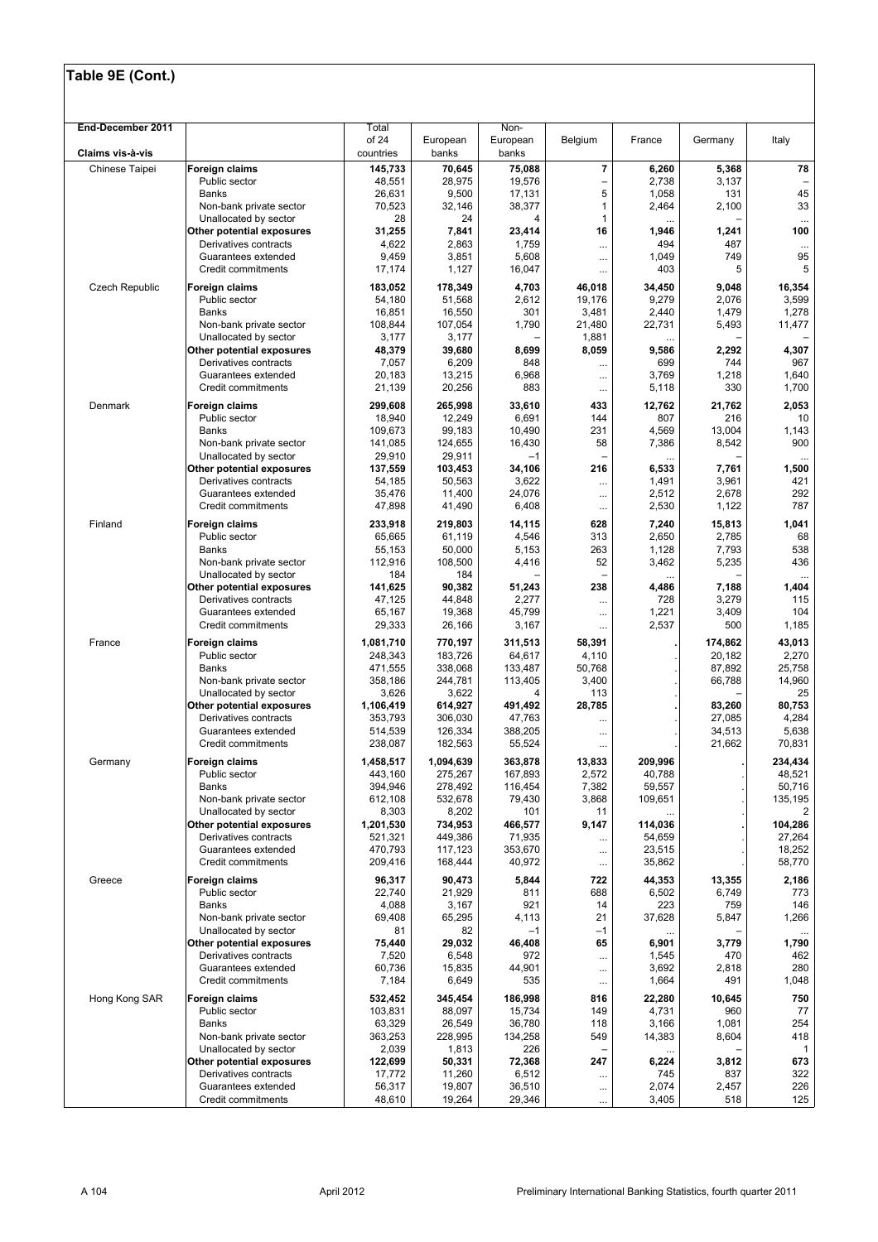| End-December 2011     |                                                    | Total<br>of 24       | European           | Non-<br>European   | Belgium                  | France            | Germany          | Italy             |
|-----------------------|----------------------------------------------------|----------------------|--------------------|--------------------|--------------------------|-------------------|------------------|-------------------|
| Claims vis-à-vis      |                                                    | countries            | banks              | banks              |                          |                   |                  |                   |
| Chinese Taipei        | Foreign claims                                     | 145,733              | 70,645             | 75,088             | $\overline{\mathbf{r}}$  | 6,260             | 5,368            | 78                |
|                       | Public sector                                      | 48,551               | 28,975             | 19,576             | $\overline{\phantom{0}}$ | 2,738             | 3,137            |                   |
|                       | Banks                                              | 26,631               | 9,500              | 17,131             | 5                        | 1,058             | 131              | 45                |
|                       | Non-bank private sector                            | 70,523               | 32,146             | 38,377             | 1                        | 2,464             | 2,100            | 33                |
|                       | Unallocated by sector<br>Other potential exposures | 28<br>31,255         | 24<br>7,841        | 4<br>23,414        | 1<br>16                  | <br>1,946         | 1,241            | <br>100           |
|                       | Derivatives contracts                              | 4,622                | 2,863              | 1,759              |                          | 494               | 487              | $\cdots$          |
|                       | Guarantees extended                                | 9,459                | 3,851              | 5,608              |                          | 1,049             | 749              | 95                |
|                       | Credit commitments                                 | 17,174               | 1,127              | 16,047             |                          | 403               | 5                | 5                 |
| <b>Czech Republic</b> | Foreign claims                                     | 183,052              | 178,349            | 4,703              | 46,018                   | 34,450            | 9,048            | 16,354            |
|                       | Public sector                                      | 54,180               | 51,568             | 2,612              | 19,176                   | 9,279             | 2,076            | 3,599             |
|                       | Banks                                              | 16,851               | 16,550             | 301                | 3,481                    | 2,440             | 1,479            | 1,278             |
|                       | Non-bank private sector<br>Unallocated by sector   | 108,844<br>3,177     | 107,054<br>3,177   | 1,790              | 21,480<br>1,881          | 22,731<br>        | 5,493            | 11,477            |
|                       | Other potential exposures                          | 48,379               | 39,680             | 8,699              | 8,059                    | 9,586             | 2,292            | 4,307             |
|                       | Derivatives contracts                              | 7,057                | 6,209              | 848                |                          | 699               | 744              | 967               |
|                       | Guarantees extended                                | 20,183               | 13,215             | 6,968              |                          | 3,769             | 1,218            | 1,640             |
|                       | Credit commitments                                 | 21,139               | 20,256             | 883                | $\cdots$                 | 5,118             | 330              | 1,700             |
| Denmark               | Foreign claims                                     | 299,608              | 265,998            | 33,610             | 433                      | 12,762            | 21,762           | 2,053             |
|                       | Public sector                                      | 18,940               | 12,249             | 6,691              | 144                      | 807               | 216              | 10                |
|                       | <b>Banks</b><br>Non-bank private sector            | 109,673<br>141,085   | 99,183<br>124,655  | 10,490<br>16,430   | 231<br>58                | 4,569<br>7,386    | 13,004<br>8,542  | 1,143<br>900      |
|                       | Unallocated by sector                              | 29.910               | 29,911             | $-1$               |                          |                   |                  | $\cdots$          |
|                       | Other potential exposures                          | 137,559              | 103,453            | 34,106             | 216                      | 6,533             | 7,761            | 1,500             |
|                       | Derivatives contracts                              | 54,185               | 50,563             | 3,622              |                          | 1,491             | 3,961            | 421               |
|                       | Guarantees extended                                | 35,476               | 11,400             | 24,076             |                          | 2,512             | 2,678            | 292               |
|                       | Credit commitments                                 | 47,898               | 41,490             | 6,408              | $\cdots$                 | 2,530             | 1,122            | 787               |
| Finland               | Foreign claims                                     | 233,918              | 219,803            | 14,115             | 628                      | 7,240             | 15,813           | 1,041             |
|                       | Public sector                                      | 65,665               | 61,119             | 4,546              | 313                      | 2,650             | 2,785            | 68                |
|                       | Banks<br>Non-bank private sector                   | 55,153<br>112,916    | 50,000<br>108,500  | 5,153<br>4,416     | 263<br>52                | 1,128<br>3,462    | 7,793<br>5,235   | 538<br>436        |
|                       | Unallocated by sector                              | 184                  | 184                |                    |                          |                   |                  |                   |
|                       | Other potential exposures                          | 141,625              | 90,382             | 51,243             | 238                      | 4,486             | 7,188            | 1,404             |
|                       | Derivatives contracts                              | 47,125               | 44,848             | 2,277              |                          | 728               | 3,279            | 115               |
|                       | Guarantees extended                                | 65,167               | 19,368             | 45,799             | $\cdots$                 | 1,221             | 3,409            | 104               |
|                       | Credit commitments                                 | 29,333               | 26,166             | 3,167              |                          | 2,537             | 500              | 1,185             |
| France                | Foreign claims                                     | 1,081,710            | 770,197            | 311,513            | 58,391                   |                   | 174,862          | 43,013            |
|                       | Public sector                                      | 248,343<br>471,555   | 183,726<br>338,068 | 64,617             | 4,110<br>50,768          |                   | 20,182<br>87,892 | 2,270<br>25,758   |
|                       | Banks<br>Non-bank private sector                   | 358,186              | 244,781            | 133,487<br>113,405 | 3,400                    |                   | 66,788           | 14,960            |
|                       | Unallocated by sector                              | 3,626                | 3,622              | 4                  | 113                      |                   |                  | 25                |
|                       | Other potential exposures                          | 1,106,419            | 614,927            | 491,492            | 28,785                   |                   | 83,260           | 80,753            |
|                       | Derivatives contracts                              | 353,793              | 306,030            | 47,763             |                          |                   | 27,085           | 4,284             |
|                       | Guarantees extended<br>Credit commitments          | 514,539<br>238,087   | 126,334            | 388,205<br>55,524  |                          |                   | 34,513<br>21,662 | 5,638<br>70,831   |
|                       |                                                    |                      | 182,563            |                    |                          |                   |                  |                   |
| Germany               | <b>Foreign claims</b>                              | 1,458,517<br>443,160 | 1,094,639          | 363,878<br>167,893 | 13,833<br>2,572          | 209,996<br>40,788 |                  | 234,434<br>48,521 |
|                       | Public sector<br>Banks                             | 394,946              | 275,267<br>278,492 | 116,454            | 7,382                    | 59,557            |                  | 50,716            |
|                       | Non-bank private sector                            | 612.108              | 532,678            | 79,430             | 3,868                    | 109,651           |                  | 135,195           |
|                       | Unallocated by sector                              | 8,303                | 8,202              | 101                | 11                       |                   |                  | 2                 |
|                       | Other potential exposures                          | 1,201,530            | 734,953            | 466,577            | 9,147                    | 114,036           |                  | 104,286           |
|                       | Derivatives contracts<br>Guarantees extended       | 521,321<br>470,793   | 449,386            | 71,935             |                          | 54,659            |                  | 27,264            |
|                       | Credit commitments                                 | 209,416              | 117,123<br>168,444 | 353,670<br>40,972  | $\cdots$<br>$\cdots$     | 23,515<br>35,862  |                  | 18,252<br>58,770  |
|                       | Foreign claims                                     |                      |                    |                    |                          |                   |                  |                   |
| Greece                | Public sector                                      | 96,317<br>22,740     | 90,473<br>21,929   | 5,844<br>811       | 722<br>688               | 44,353<br>6,502   | 13,355<br>6,749  | 2,186<br>773      |
|                       | Banks                                              | 4,088                | 3,167              | 921                | 14                       | 223               | 759              | 146               |
|                       | Non-bank private sector                            | 69,408               | 65,295             | 4,113              | 21                       | 37,628            | 5,847            | 1,266             |
|                       | Unallocated by sector                              | 81                   | 82                 | $-1$               | $-1$                     |                   |                  | $\cdots$          |
|                       | Other potential exposures                          | 75,440               | 29,032             | 46,408             | 65                       | 6,901             | 3,779            | 1,790             |
|                       | Derivatives contracts<br>Guarantees extended       | 7,520<br>60,736      | 6,548<br>15,835    | 972<br>44,901      | $\cdots$                 | 1,545<br>3,692    | 470<br>2,818     | 462<br>280        |
|                       | Credit commitments                                 | 7,184                | 6,649              | 535                | <br>$\cdots$             | 1,664             | 491              | 1,048             |
| Hong Kong SAR         | Foreign claims                                     | 532,452              | 345,454            | 186,998            | 816                      | 22,280            | 10,645           | 750               |
|                       | Public sector                                      | 103,831              | 88,097             | 15,734             | 149                      | 4,731             | 960              | 77                |
|                       | Banks                                              | 63,329               | 26,549             | 36,780             | 118                      | 3,166             | 1,081            | 254               |
|                       | Non-bank private sector                            | 363,253              | 228,995            | 134,258            | 549                      | 14,383            | 8,604            | 418               |
|                       | Unallocated by sector                              | 2,039                | 1,813              | 226                |                          |                   |                  | $\mathbf{1}$      |
|                       | Other potential exposures<br>Derivatives contracts | 122,699<br>17,772    | 50,331<br>11,260   | 72,368<br>6,512    | 247                      | 6,224<br>745      | 3,812<br>837     | 673<br>322        |
|                       | Guarantees extended                                | 56,317               | 19,807             | 36,510             | <br>                     | 2,074             | 2,457            | 226               |
|                       | Credit commitments                                 | 48,610               | 19,264             | 29,346             | $\cdots$                 | 3,405             | 518              | 125               |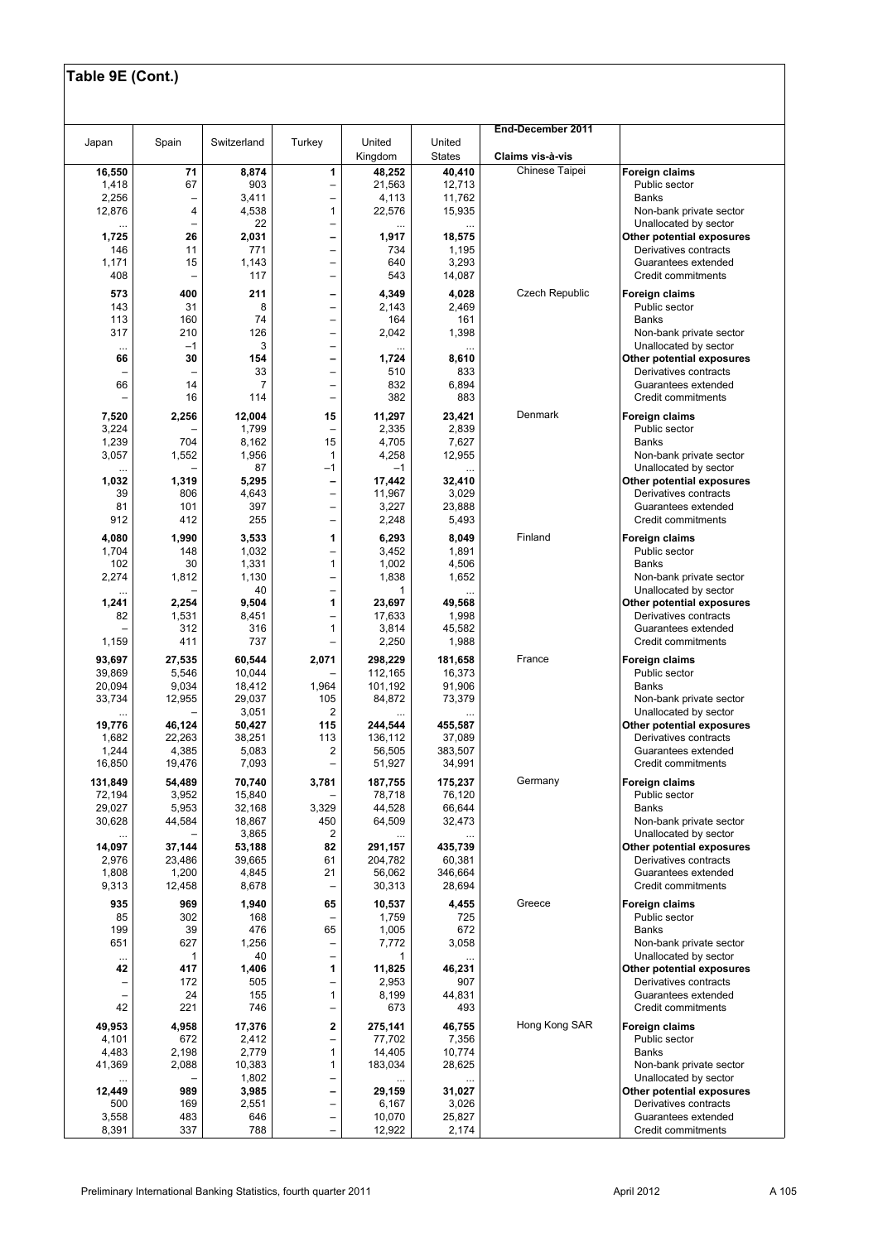|                  |                  |                  |                                                      |                    |                         | End-December 2011     |                                                    |
|------------------|------------------|------------------|------------------------------------------------------|--------------------|-------------------------|-----------------------|----------------------------------------------------|
| Japan            | Spain            | Switzerland      | Turkey                                               | United<br>Kingdom  | United<br><b>States</b> | Claims vis-à-vis      |                                                    |
| 16,550           | ${\bf 71}$       | 8,874            | 1                                                    | 48,252             | 40,410                  | Chinese Taipei        | Foreign claims                                     |
| 1,418            | 67               | 903              | $\overline{\phantom{0}}$                             | 21,563             | 12,713                  |                       | Public sector                                      |
| 2,256<br>12,876  | 4                | 3,411<br>4,538   | $\overline{a}$<br>$\mathbf{1}$                       | 4,113<br>22,576    | 11,762<br>15,935        |                       | <b>Banks</b><br>Non-bank private sector            |
| $\cdots$         |                  | 22               | $\overline{\phantom{0}}$                             |                    |                         |                       | Unallocated by sector                              |
| 1,725            | 26               | 2,031            | $\qquad \qquad$                                      | 1,917              | 18,575                  |                       | Other potential exposures                          |
| 146              | 11               | 771              | $\overline{\phantom{0}}$                             | 734                | 1,195                   |                       | Derivatives contracts                              |
| 1,171<br>408     | 15               | 1,143<br>117     | $\overline{\phantom{0}}$<br>$\qquad \qquad -$        | 640<br>543         | 3,293<br>14,087         |                       | Guarantees extended<br>Credit commitments          |
|                  |                  |                  |                                                      |                    |                         | <b>Czech Republic</b> |                                                    |
| 573<br>143       | 400<br>31        | 211<br>8         | $\overline{\phantom{0}}$                             | 4,349<br>2,143     | 4,028<br>2,469          |                       | Foreign claims<br>Public sector                    |
| 113              | 160              | 74               | -                                                    | 164                | 161                     |                       | <b>Banks</b>                                       |
| 317              | 210              | 126              | $\overline{a}$                                       | 2,042              | 1,398                   |                       | Non-bank private sector                            |
| $\cdots$<br>66   | $-1$<br>30       | 3<br>154         | $\overline{\phantom{0}}$<br>$\qquad \qquad -$        | .<br>1,724         | 8,610                   |                       | Unallocated by sector<br>Other potential exposures |
| -                |                  | 33               | $\qquad \qquad -$                                    | 510                | 833                     |                       | Derivatives contracts                              |
| 66               | 14               |                  | -                                                    | 832                | 6,894                   |                       | Guarantees extended                                |
|                  | 16               | 114              | -                                                    | 382                | 883                     |                       | Credit commitments                                 |
| 7,520            | 2,256            | 12,004           | 15                                                   | 11,297             | 23,421                  | Denmark               | Foreign claims                                     |
| 3,224            | 704              | 1,799            | $\overline{\phantom{0}}$<br>15                       | 2,335              | 2,839                   |                       | Public sector<br><b>Banks</b>                      |
| 1,239<br>3,057   | 1,552            | 8,162<br>1,956   | $\mathbf{1}$                                         | 4,705<br>4,258     | 7,627<br>12,955         |                       | Non-bank private sector                            |
| .                |                  | 87               | $-1$                                                 | $-1$               |                         |                       | Unallocated by sector                              |
| 1,032            | 1,319            | 5,295            | $\qquad \qquad \blacksquare$                         | 17,442             | 32,410                  |                       | Other potential exposures                          |
| 39<br>81         | 806<br>101       | 4,643<br>397     | $\overline{\phantom{0}}$<br>$\overline{\phantom{0}}$ | 11,967<br>3,227    | 3,029<br>23,888         |                       | Derivatives contracts<br>Guarantees extended       |
| 912              | 412              | 255              | $\overline{\phantom{0}}$                             | 2,248              | 5,493                   |                       | Credit commitments                                 |
| 4,080            | 1,990            | 3,533            | 1                                                    | 6,293              | 8,049                   | Finland               | Foreign claims                                     |
| 1,704            | 148              | 1,032            | $\overline{\phantom{0}}$                             | 3,452              | 1,891                   |                       | Public sector                                      |
| 102              | 30               | 1,331            | $\mathbf{1}$                                         | 1,002              | 4,506                   |                       | <b>Banks</b>                                       |
| 2,274            | 1,812            | 1,130            | $\overline{\phantom{0}}$                             | 1,838              | 1,652                   |                       | Non-bank private sector                            |
| <br>1,241        | 2,254            | 40<br>9,504      | $\overline{\phantom{0}}$<br>1                        | 1<br>23,697        | 49,568                  |                       | Unallocated by sector<br>Other potential exposures |
| 82               | 1,531            | 8,451            | $\overline{\phantom{0}}$                             | 17,633             | 1,998                   |                       | Derivatives contracts                              |
|                  | 312              | 316              | 1                                                    | 3,814              | 45,582                  |                       | Guarantees extended                                |
| 1,159            | 411              | 737              |                                                      | 2,250              | 1,988                   |                       | Credit commitments                                 |
| 93,697           | 27,535           | 60,544           | 2,071                                                | 298,229            | 181,658                 | France                | Foreign claims                                     |
| 39,869<br>20,094 | 5,546<br>9,034   | 10,044<br>18,412 | 1,964                                                | 112,165<br>101,192 | 16,373<br>91,906        |                       | Public sector<br><b>Banks</b>                      |
| 33,734           | 12,955           | 29,037           | 105                                                  | 84,872             | 73,379                  |                       | Non-bank private sector                            |
|                  |                  | 3,051            | 2                                                    |                    |                         |                       | Unallocated by sector                              |
| 19,776<br>1,682  | 46,124<br>22,263 | 50,427<br>38,251 | 115<br>113                                           | 244,544<br>136,112 | 455,587<br>37,089       |                       | Other potential exposures<br>Derivatives contracts |
| 1,244            | 4,385            | 5,083            | 2                                                    | 56,505             | 383,507                 |                       | Guarantees extended                                |
| 16,850           | 19,476           | 7,093            | $\qquad \qquad -$                                    | 51,927             | 34,991                  |                       | Credit commitments                                 |
| 131,849          | 54,489           | 70,740           | 3,781                                                | 187,755            | 175,237                 | Germany               | Foreign claims                                     |
| 72,194           | 3,952            | 15,840           |                                                      | 78,718             | 76,120                  |                       | Public sector                                      |
| 29,027<br>30,628 | 5,953<br>44,584  | 32,168<br>18,867 | 3,329<br>450                                         | 44,528<br>64,509   | 66,644<br>32,473        |                       | <b>Banks</b><br>Non-bank private sector            |
|                  |                  | 3,865            | $\overline{\mathbf{c}}$                              |                    |                         |                       | Unallocated by sector                              |
| 14,097           | 37,144           | 53,188           | 82                                                   | 291,157            | 435,739                 |                       | Other potential exposures                          |
| 2,976            | 23,486           | 39,665           | 61                                                   | 204,782            | 60,381                  |                       | Derivatives contracts                              |
| 1,808<br>9,313   | 1,200<br>12,458  | 4,845<br>8,678   | 21                                                   | 56,062<br>30,313   | 346,664<br>28,694       |                       | Guarantees extended<br>Credit commitments          |
| 935              | 969              | 1,940            | 65                                                   | 10,537             | 4,455                   | Greece                |                                                    |
| 85               | 302              | 168              |                                                      | 1,759              | 725                     |                       | Foreign claims<br>Public sector                    |
| 199              | 39               | 476              | 65                                                   | 1,005              | 672                     |                       | <b>Banks</b>                                       |
| 651              | 627              | 1,256            | -                                                    | 7,772              | 3,058                   |                       | Non-bank private sector                            |
| $\cdots$<br>42   | 1<br>417         | 40<br>1,406      | $\qquad \qquad -$<br>1                               | 1<br>11,825        | 46,231                  |                       | Unallocated by sector<br>Other potential exposures |
| -                | 172              | 505              | -                                                    | 2,953              | 907                     |                       | Derivatives contracts                              |
| -                | 24               | 155              | $\mathbf{1}$                                         | 8,199              | 44,831                  |                       | Guarantees extended                                |
| 42               | 221              | 746              | $\overline{\phantom{0}}$                             | 673                | 493                     |                       | Credit commitments                                 |
| 49,953           | 4,958            | 17,376           | 2                                                    | 275,141            | 46,755                  | Hong Kong SAR         | Foreign claims                                     |
| 4,101<br>4,483   | 672<br>2,198     | 2,412<br>2,779   | $\overline{\phantom{0}}$<br>$\mathbf{1}$             | 77,702<br>14,405   | 7,356<br>10,774         |                       | Public sector<br><b>Banks</b>                      |
| 41,369           | 2,088            | 10,383           | $\mathbf{1}$                                         | 183,034            | 28,625                  |                       | Non-bank private sector                            |
|                  |                  | 1,802            | $\qquad \qquad -$                                    |                    |                         |                       | Unallocated by sector                              |
| 12,449           | 989              | 3,985            | $\overline{\phantom{0}}$                             | 29,159             | 31,027                  |                       | Other potential exposures                          |
| 500<br>3,558     | 169<br>483       | 2,551<br>646     | $\overline{\phantom{0}}$<br>$\qquad \qquad -$        | 6,167<br>10,070    | 3,026<br>25,827         |                       | Derivatives contracts<br>Guarantees extended       |
| 8,391            | 337              | 788              |                                                      | 12,922             | 2,174                   |                       | Credit commitments                                 |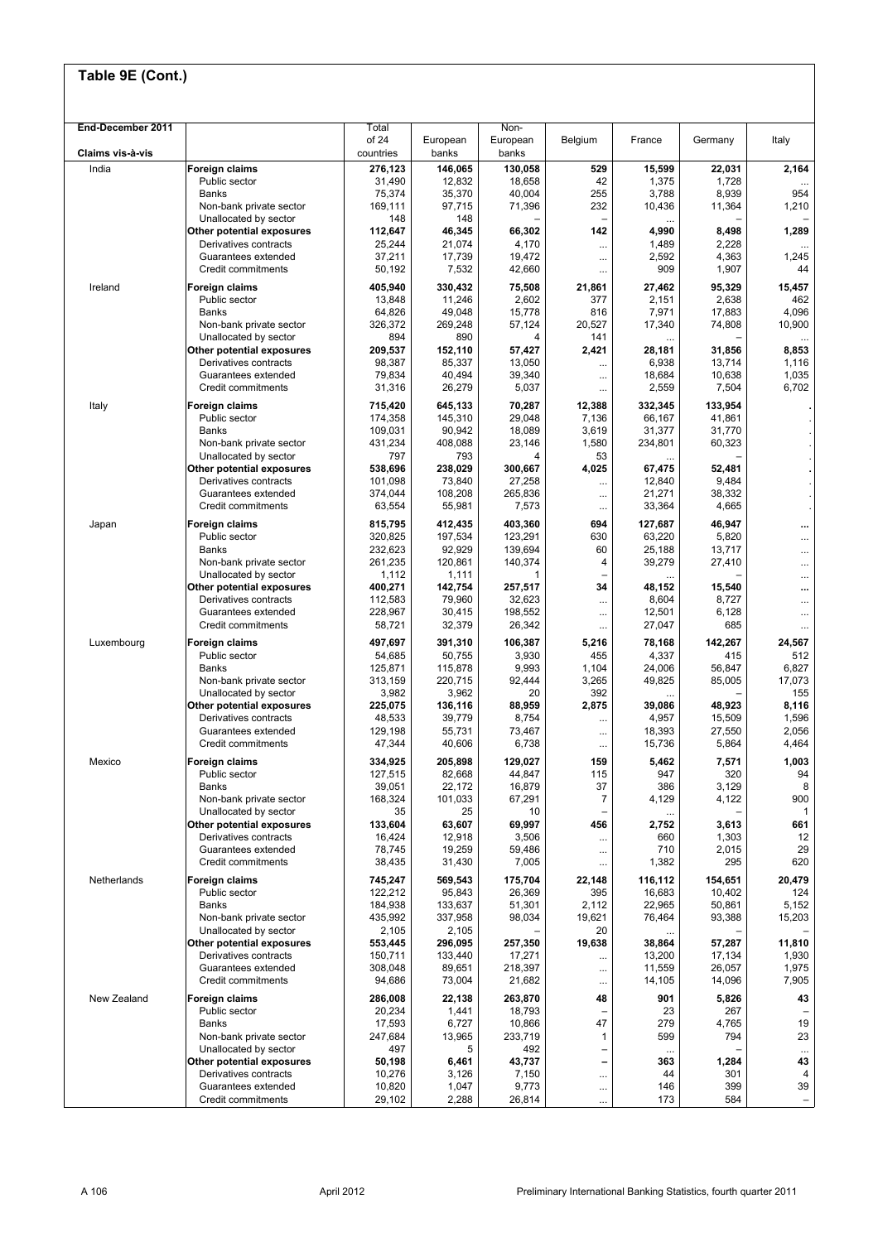| End-December 2011 |                                                    | Total              |                    | Non-              |                          |                  |                  |                   |
|-------------------|----------------------------------------------------|--------------------|--------------------|-------------------|--------------------------|------------------|------------------|-------------------|
|                   |                                                    | of 24              | European           | European          | Belgium                  | France           | Germany          | Italy             |
| Claims vis-à-vis  |                                                    | countries          | banks              | banks             |                          |                  |                  |                   |
| India             | <b>Foreign claims</b>                              | 276,123            | 146,065            | 130,058           | 529                      | 15,599           | 22,031           | 2,164             |
|                   | Public sector<br><b>Banks</b>                      | 31,490             | 12,832             | 18,658            | 42<br>255                | 1,375            | 1,728            | 954               |
|                   | Non-bank private sector                            | 75,374<br>169,111  | 35,370<br>97,715   | 40,004<br>71,396  | 232                      | 3,788<br>10,436  | 8,939<br>11,364  | 1,210             |
|                   | Unallocated by sector                              | 148                | 148                |                   |                          |                  |                  |                   |
|                   | Other potential exposures                          | 112,647            | 46,345             | 66,302            | 142                      | 4,990            | 8,498            | 1,289             |
|                   | Derivatives contracts                              | 25,244             | 21,074             | 4,170             |                          | 1,489            | 2,228            |                   |
|                   | Guarantees extended                                | 37,211             | 17,739             | 19,472            |                          | 2,592            | 4,363            | 1,245             |
|                   | Credit commitments                                 | 50,192             | 7,532              | 42,660            | $\cdots$                 | 909              | 1,907            | 44                |
| Ireland           | Foreign claims                                     | 405,940            | 330,432            | 75,508            | 21,861                   | 27,462           | 95,329           | 15,457            |
|                   | Public sector                                      | 13,848             | 11,246             | 2,602             | 377                      | 2,151            | 2,638            | 462               |
|                   | Banks                                              | 64,826             | 49,048             | 15,778            | 816                      | 7,971            | 17,883           | 4,096             |
|                   | Non-bank private sector                            | 326,372            | 269,248<br>890     | 57,124            | 20,527<br>141            | 17,340           | 74,808           | 10,900            |
|                   | Unallocated by sector<br>Other potential exposures | 894<br>209,537     | 152,110            | 4<br>57,427       | 2,421                    | <br>28,181       | 31,856           | $\cdots$<br>8,853 |
|                   | Derivatives contracts                              | 98,387             | 85,337             | 13,050            |                          | 6,938            | 13,714           | 1,116             |
|                   | Guarantees extended                                | 79,834             | 40,494             | 39,340            | $\cdots$                 | 18,684           | 10,638           | 1,035             |
|                   | Credit commitments                                 | 31,316             | 26,279             | 5,037             |                          | 2,559            | 7,504            | 6,702             |
| Italy             | <b>Foreign claims</b>                              | 715,420            | 645,133            | 70,287            | 12,388                   | 332,345          | 133,954          |                   |
|                   | Public sector                                      | 174,358            | 145,310            | 29,048            | 7,136                    | 66,167           | 41,861           |                   |
|                   | <b>Banks</b>                                       | 109,031            | 90,942             | 18,089            | 3,619                    | 31,377           | 31,770           |                   |
|                   | Non-bank private sector                            | 431,234            | 408,088            | 23,146            | 1,580                    | 234,801          | 60,323           |                   |
|                   | Unallocated by sector                              | 797                | 793                | 4                 | 53                       |                  |                  |                   |
|                   | Other potential exposures<br>Derivatives contracts | 538,696<br>101,098 | 238,029<br>73,840  | 300,667<br>27,258 | 4,025                    | 67,475<br>12,840 | 52,481<br>9,484  |                   |
|                   | Guarantees extended                                | 374,044            | 108,208            | 265,836           | <br>$\cdots$             | 21,271           | 38,332           |                   |
|                   | Credit commitments                                 | 63,554             | 55,981             | 7,573             | $\cdots$                 | 33,364           | 4,665            |                   |
| Japan             | <b>Foreign claims</b>                              | 815,795            | 412,435            | 403,360           | 694                      | 127,687          | 46,947           |                   |
|                   | Public sector                                      | 320,825            | 197,534            | 123,291           | 630                      | 63,220           | 5,820            | <br>              |
|                   | Banks                                              | 232,623            | 92,929             | 139,694           | 60                       | 25,188           | 13,717           | $\cdots$          |
|                   | Non-bank private sector                            | 261,235            | 120,861            | 140,374           | 4                        | 39,279           | 27,410           |                   |
|                   | Unallocated by sector                              | 1,112              | 1,111              | 1                 |                          |                  |                  |                   |
|                   | Other potential exposures                          | 400,271            | 142,754            | 257,517           | 34                       | 48,152           | 15,540           | $\ddotsc$         |
|                   | Derivatives contracts                              | 112,583            | 79,960             | 32,623            | $\cdots$                 | 8,604            | 8,727            | $\ddotsc$         |
|                   | Guarantees extended<br>Credit commitments          | 228,967<br>58,721  | 30,415<br>32,379   | 198,552<br>26,342 | $\cdots$                 | 12,501<br>27,047 | 6,128<br>685     | $\cdots$          |
|                   |                                                    |                    |                    |                   | $\cdots$                 |                  |                  | $\cdots$          |
| Luxembourg        | <b>Foreign claims</b><br>Public sector             | 497,697<br>54,685  | 391,310<br>50,755  | 106,387<br>3,930  | 5,216<br>455             | 78,168<br>4,337  | 142,267<br>415   | 24,567<br>512     |
|                   | Banks                                              | 125,871            | 115,878            | 9,993             | 1,104                    | 24,006           | 56,847           | 6,827             |
|                   | Non-bank private sector                            | 313,159            | 220,715            | 92,444            | 3,265                    | 49,825           | 85,005           | 17,073            |
|                   | Unallocated by sector                              | 3,982              | 3,962              | 20                | 392                      |                  |                  | 155               |
|                   | Other potential exposures                          | 225,075            | 136,116            | 88,959            | 2,875                    | 39,086           | 48,923           | 8,116             |
|                   | Derivatives contracts                              | 48,533             | 39,779             | 8,754             | $\cdots$                 | 4,957            | 15,509           | 1,596             |
|                   | Guarantees extended<br>Credit commitments          | 129,198<br>47,344  | 55,731<br>40,606   | 73,467<br>6,738   |                          | 18,393<br>15,736 | 27,550<br>5,864  | 2,056<br>4,464    |
|                   |                                                    |                    |                    |                   | $\cdots$                 |                  |                  |                   |
| Mexico            | <b>Foreign claims</b>                              | 334,925            | 205,898            | 129,027           | 159                      | 5,462            | 7,571            | 1,003             |
|                   | Public sector<br>Banks                             | 127,515<br>39,051  | 82,668<br>22,172   | 44,847<br>16,879  | 115<br>37                | 947<br>386       | 320<br>3,129     | 94<br>8           |
|                   | Non-bank private sector                            | 168,324            | 101,033            | 67,291            | $\overline{7}$           | 4,129            | 4,122            | 900               |
|                   | Unallocated by sector                              | 35                 | 25                 | 10                |                          |                  |                  | $\mathbf{1}$      |
|                   | Other potential exposures                          | 133,604            | 63,607             | 69,997            | 456                      | 2,752            | 3,613            | 661               |
|                   | Derivatives contracts                              | 16,424             | 12,918             | 3,506             |                          | 660              | 1,303            | 12                |
|                   | Guarantees extended                                | 78,745             | 19,259             | 59,486            |                          | 710              | 2,015            | 29                |
|                   | Credit commitments                                 | 38,435             | 31,430             | 7,005             |                          | 1,382            | 295              | 620               |
| Netherlands       | Foreign claims                                     | 745,247            | 569,543            | 175,704           | 22,148                   | 116,112          | 154,651          | 20,479            |
|                   | Public sector<br><b>Banks</b>                      | 122,212            | 95,843             | 26,369<br>51,301  | 395                      | 16,683<br>22,965 | 10,402<br>50,861 | 124<br>5,152      |
|                   | Non-bank private sector                            | 184,938<br>435,992 | 133,637<br>337,958 | 98,034            | 2,112<br>19,621          | 76,464           | 93,388           | 15,203            |
|                   | Unallocated by sector                              | 2,105              | 2,105              |                   | 20                       |                  |                  |                   |
|                   | Other potential exposures                          | 553,445            | 296,095            | 257,350           | 19,638                   | 38,864           | 57,287           | 11,810            |
|                   | Derivatives contracts                              | 150,711            | 133,440            | 17,271            | $\cdots$                 | 13,200           | 17,134           | 1,930             |
|                   | Guarantees extended                                | 308,048            | 89,651             | 218,397           | $\cdots$                 | 11,559           | 26,057           | 1,975             |
|                   | Credit commitments                                 | 94,686             | 73,004             | 21,682            | $\cdots$                 | 14,105           | 14,096           | 7,905             |
| New Zealand       | Foreign claims                                     | 286,008            | 22,138             | 263,870           | 48                       | 901              | 5,826            | 43                |
|                   | Public sector                                      | 20,234             | 1,441              | 18,793            |                          | 23               | 267              |                   |
|                   | <b>Banks</b>                                       | 17,593             | 6,727              | 10,866            | 47                       | 279              | 4,765            | 19                |
|                   | Non-bank private sector<br>Unallocated by sector   | 247,684<br>497     | 13,965<br>5        | 233,719<br>492    | 1<br>-                   | 599              | 794              | 23                |
|                   | Other potential exposures                          | 50,198             | 6,461              | 43,737            | $\overline{\phantom{a}}$ | <br>363          | 1,284            | $\cdots$<br>43    |
|                   | Derivatives contracts                              | 10,276             | 3,126              | 7,150             | $\cdots$                 | 44               | 301              | 4                 |
|                   | Guarantees extended                                | 10,820             | 1,047              | 9,773             |                          | 146              | 399              | 39                |
|                   | Credit commitments                                 | 29,102             | 2,288              | 26,814            | $\cdots$                 | 173              | 584              | $\qquad \qquad -$ |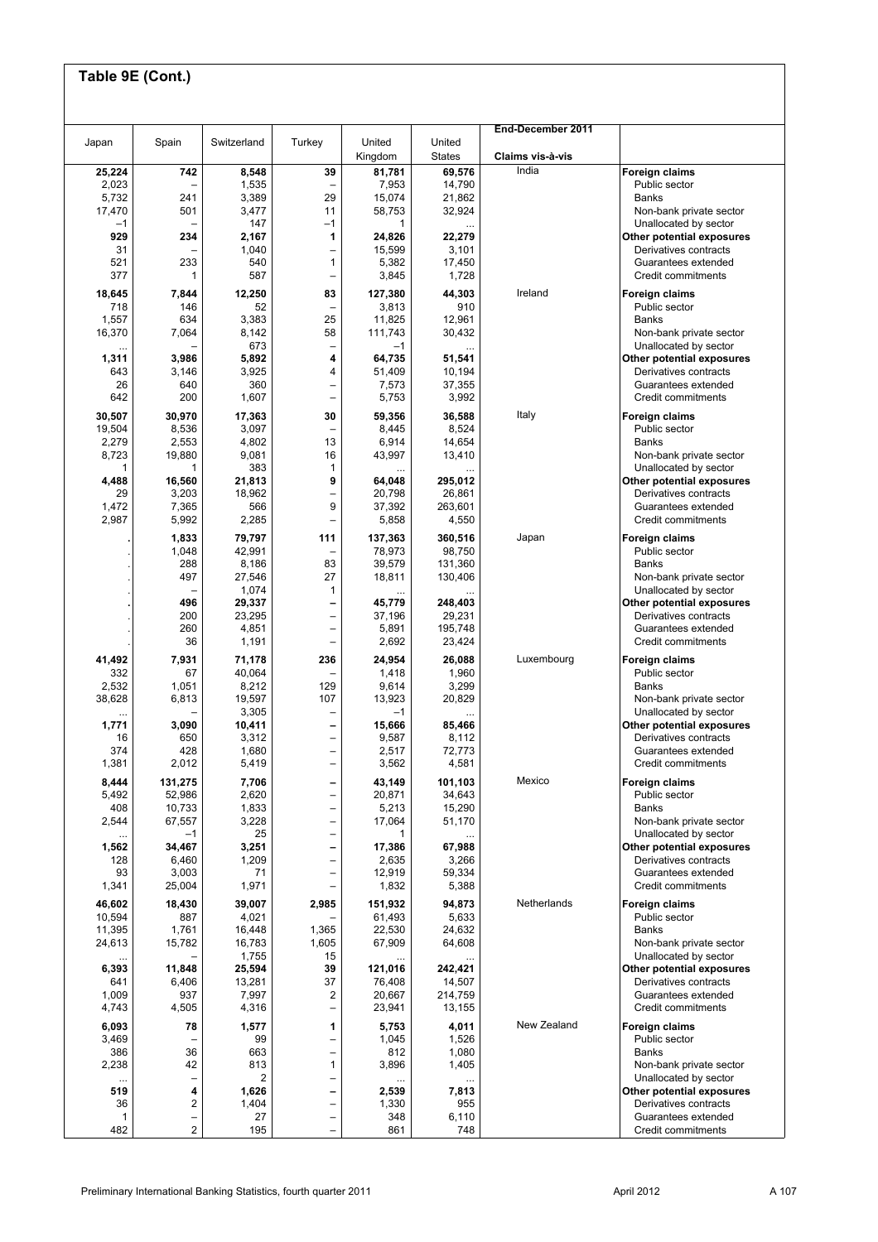|               |                              | Switzerland     | Turkey                                               | United           | United            | End-December 2011 |                                                    |
|---------------|------------------------------|-----------------|------------------------------------------------------|------------------|-------------------|-------------------|----------------------------------------------------|
| Japan         | Spain                        |                 |                                                      | Kingdom          | <b>States</b>     | Claims vis-à-vis  |                                                    |
| 25,224        | 742                          | 8,548           | 39                                                   | 81,781           | 69,576            | India             | Foreign claims                                     |
| 2,023         |                              | 1,535           |                                                      | 7,953            | 14,790            |                   | Public sector                                      |
| 5,732         | 241                          | 3,389           | 29                                                   | 15,074           | 21,862            |                   | <b>Banks</b>                                       |
| 17,470        | 501                          | 3,477           | 11                                                   | 58,753           | 32,924            |                   | Non-bank private sector                            |
| $-1$          |                              | 147             | $-1$                                                 | 1                |                   |                   | Unallocated by sector                              |
| 929<br>31     | 234                          | 2,167<br>1,040  | 1<br>$\overline{\phantom{0}}$                        | 24,826<br>15,599 | 22,279<br>3,101   |                   | Other potential exposures<br>Derivatives contracts |
| 521           | 233                          | 540             | $\mathbf{1}$                                         | 5,382            | 17,450            |                   | Guarantees extended                                |
| 377           | $\mathbf{1}$                 | 587             | $\overline{\phantom{0}}$                             | 3,845            | 1,728             |                   | Credit commitments                                 |
|               |                              |                 |                                                      |                  |                   | Ireland           |                                                    |
| 18,645<br>718 | 7,844<br>146                 | 12,250<br>52    | 83<br>$\overline{\phantom{0}}$                       | 127,380<br>3,813 | 44,303<br>910     |                   | <b>Foreign claims</b><br>Public sector             |
| 1,557         | 634                          | 3,383           | 25                                                   | 11,825           | 12,961            |                   | <b>Banks</b>                                       |
| 16,370        | 7,064                        | 8,142           | 58                                                   | 111,743          | 30,432            |                   | Non-bank private sector                            |
|               |                              | 673             | -                                                    | $-1$             |                   |                   | Unallocated by sector                              |
| 1,311         | 3,986                        | 5,892           | 4                                                    | 64,735           | 51,541            |                   | Other potential exposures                          |
| 643           | 3,146                        | 3,925           | 4                                                    | 51,409           | 10,194            |                   | Derivatives contracts                              |
| 26            | 640                          | 360             | $\qquad \qquad -$                                    | 7,573            | 37,355            |                   | Guarantees extended                                |
| 642           | 200                          | 1,607           | -                                                    | 5,753            | 3,992             |                   | Credit commitments                                 |
| 30,507        | 30,970                       | 17,363          | 30                                                   | 59,356           | 36,588            | Italy             | Foreign claims                                     |
| 19,504        | 8,536                        | 3,097           |                                                      | 8,445            | 8,524             |                   | Public sector                                      |
| 2,279         | 2,553                        | 4,802           | 13                                                   | 6,914            | 14,654            |                   | <b>Banks</b>                                       |
| 8,723         | 19,880                       | 9,081           | 16                                                   | 43,997           | 13,410            |                   | Non-bank private sector                            |
| 1             | 1                            | 383             | $\mathbf{1}$                                         |                  |                   |                   | Unallocated by sector                              |
| 4,488         | 16,560                       | 21,813          | 9                                                    | 64,048           | 295,012           |                   | Other potential exposures                          |
| 29<br>1,472   | 3,203<br>7,365               | 18,962<br>566   | -<br>9                                               | 20,798<br>37,392 | 26,861<br>263,601 |                   | Derivatives contracts<br>Guarantees extended       |
| 2,987         | 5,992                        | 2,285           | $\overline{\phantom{0}}$                             | 5,858            | 4,550             |                   | Credit commitments                                 |
|               |                              |                 |                                                      |                  |                   |                   |                                                    |
|               | 1,833                        | 79,797          | 111                                                  | 137,363          | 360,516           | Japan             | Foreign claims                                     |
|               | 1,048<br>288                 | 42,991<br>8,186 | $\overline{\phantom{0}}$<br>83                       | 78,973<br>39,579 | 98,750<br>131,360 |                   | Public sector<br><b>Banks</b>                      |
|               | 497                          | 27,546          | 27                                                   | 18,811           | 130,406           |                   | Non-bank private sector                            |
|               |                              | 1,074           | $\mathbf{1}$                                         |                  |                   |                   | Unallocated by sector                              |
|               | 496                          | 29,337          | -                                                    | 45,779           | 248,403           |                   | Other potential exposures                          |
|               | 200                          | 23,295          | $\equiv$                                             | 37,196           | 29,231            |                   | Derivatives contracts                              |
|               | 260                          | 4,851           | $\overline{\phantom{0}}$                             | 5,891            | 195,748           |                   | Guarantees extended                                |
|               | 36                           | 1,191           | $\overline{\phantom{0}}$                             | 2,692            | 23,424            |                   | Credit commitments                                 |
| 41,492        | 7,931                        | 71,178          | 236                                                  | 24,954           | 26,088            | Luxembourg        | Foreign claims                                     |
| 332           | 67                           | 40,064          | $\overline{\phantom{0}}$                             | 1,418            | 1,960             |                   | Public sector                                      |
| 2,532         | 1,051                        | 8,212           | 129                                                  | 9,614            | 3,299             |                   | <b>Banks</b>                                       |
| 38,628        | 6,813                        | 19,597          | 107                                                  | 13,923           | 20,829            |                   | Non-bank private sector                            |
|               |                              | 3,305           | -                                                    | $-1$             |                   |                   | Unallocated by sector                              |
| 1,771         | 3,090                        | 10,411          | -                                                    | 15,666           | 85,466            |                   | Other potential exposures                          |
| 16<br>374     | 650<br>428                   | 3,312<br>1,680  | $\overline{\phantom{0}}$<br>$\overline{\phantom{0}}$ | 9,587<br>2,517   | 8,112<br>72,773   |                   | Derivatives contracts<br>Guarantees extended       |
| 1,381         | 2,012                        | 5,419           | -                                                    | 3,562            | 4,581             |                   | Credit commitments                                 |
|               |                              |                 |                                                      |                  |                   |                   |                                                    |
| 8,444         | 131,275                      | 7,706           | -                                                    | 43,149           | 101,103           | Mexico            | Foreign claims                                     |
| 5,492<br>408  | 52,986                       | 2,620           | -                                                    | 20,871           | 34,643            |                   | Public sector                                      |
| 2,544         | 10,733<br>67,557             | 1,833<br>3,228  | $\overline{\phantom{0}}$<br>$\overline{\phantom{0}}$ | 5,213<br>17,064  | 15,290<br>51,170  |                   | <b>Banks</b><br>Non-bank private sector            |
|               | $-1$                         | 25              | $\overline{\phantom{0}}$                             | 1                |                   |                   | Unallocated by sector                              |
| 1,562         | 34,467                       | 3,251           | -                                                    | 17,386           | 67,988            |                   | Other potential exposures                          |
| 128           | 6,460                        | 1,209           | $\qquad \qquad -$                                    | 2,635            | 3,266             |                   | Derivatives contracts                              |
| 93            | 3,003                        | 71              | -                                                    | 12,919           | 59,334            |                   | Guarantees extended                                |
| 1,341         | 25,004                       | 1,971           | $\qquad \qquad -$                                    | 1,832            | 5,388             |                   | Credit commitments                                 |
| 46,602        | 18,430                       | 39,007          | 2,985                                                | 151,932          | 94,873            | Netherlands       | <b>Foreign claims</b>                              |
| 10,594        | 887                          | 4,021           |                                                      | 61,493           | 5,633             |                   | Public sector                                      |
| 11,395        | 1,761                        | 16,448          | 1,365                                                | 22,530           | 24,632            |                   | <b>Banks</b>                                       |
| 24,613        | 15,782                       | 16,783          | 1,605                                                | 67,909           | 64,608            |                   | Non-bank private sector                            |
| $\cdots$      |                              | 1,755           | 15                                                   |                  |                   |                   | Unallocated by sector                              |
| 6,393         | 11,848                       | 25,594          | 39                                                   | 121,016          | 242,421           |                   | Other potential exposures                          |
| 641           | 6,406                        | 13,281          | 37                                                   | 76,408           | 14,507            |                   | Derivatives contracts                              |
| 1,009         | 937                          | 7,997           | $\mathbf 2$                                          | 20,667           | 214,759           |                   | Guarantees extended                                |
| 4,743         | 4,505                        | 4,316           | $\overline{a}$                                       | 23,941           | 13,155            |                   | Credit commitments                                 |
| 6,093         | 78                           | 1,577           | 1                                                    | 5,753            | 4,011             | New Zealand       | Foreign claims                                     |
| 3,469         |                              | 99              | $\overline{\phantom{0}}$                             | 1,045            | 1,526             |                   | Public sector                                      |
| 386           | 36                           | 663             | $\overline{\phantom{0}}$                             | 812              | 1,080             |                   | <b>Banks</b>                                       |
| 2,238         | 42                           | 813             | $\mathbf{1}$                                         | 3,896            | 1,405             |                   | Non-bank private sector                            |
| <br>519       | $\overline{\phantom{0}}$     | 2               | $\overline{\phantom{0}}$                             |                  |                   |                   | Unallocated by sector                              |
| 36            | 4<br>$\overline{\mathbf{c}}$ | 1,626<br>1,404  | -<br>$\qquad \qquad -$                               | 2,539<br>1,330   | 7,813<br>955      |                   | Other potential exposures<br>Derivatives contracts |
| 1             | -                            | 27              | $\qquad \qquad -$                                    | 348              | 6,110             |                   | Guarantees extended                                |
|               | $\overline{c}$               | 195             |                                                      | 861              | 748               |                   | Credit commitments                                 |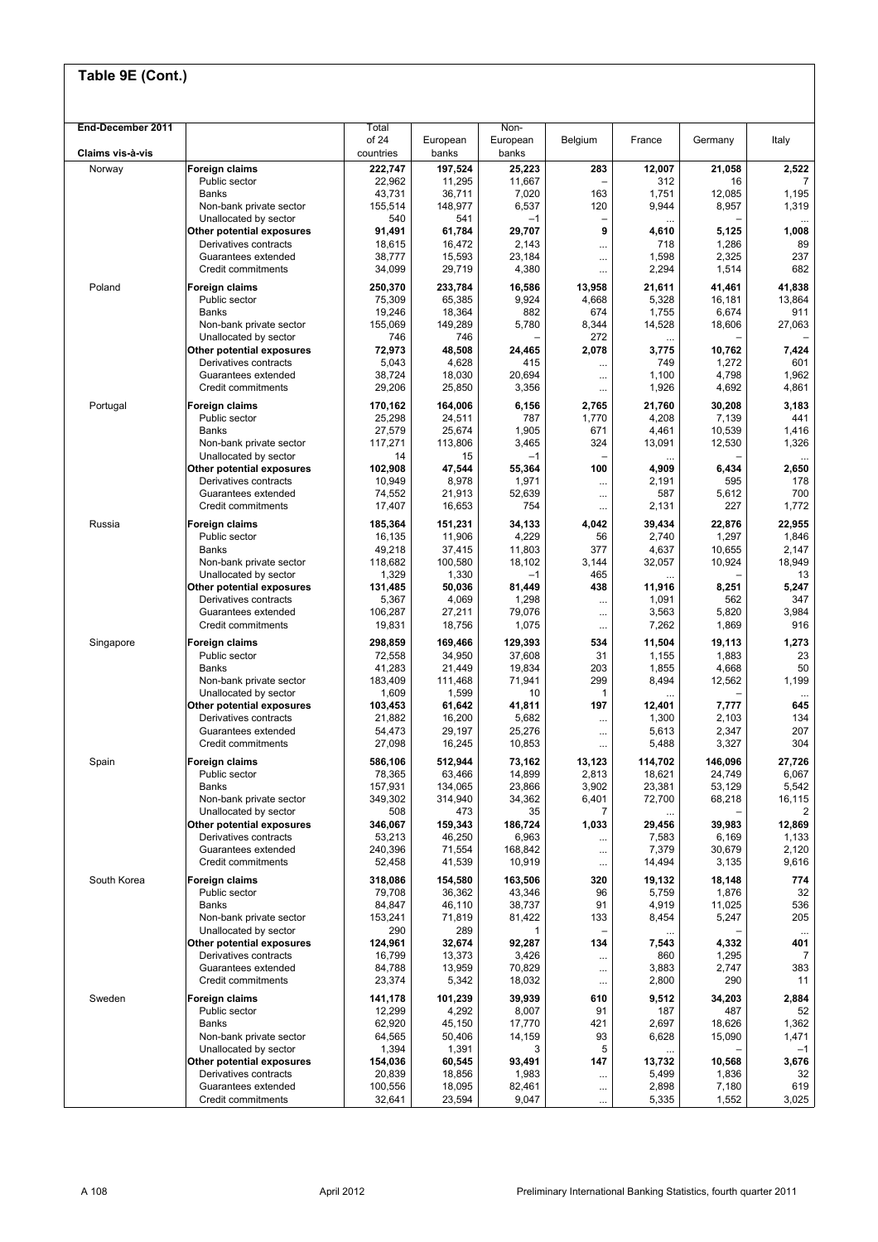| End-December 2011 |                                              | Total             |                   | Non-              |                 |                   |                   |                       |
|-------------------|----------------------------------------------|-------------------|-------------------|-------------------|-----------------|-------------------|-------------------|-----------------------|
|                   |                                              | of 24             | European          | European          | Belgium         | France            | Germany           | Italy                 |
| Claims vis-à-vis  |                                              | countries         | banks             | banks             |                 |                   |                   |                       |
| Norway            | Foreign claims                               | 222,747           | 197,524           | 25,223            | 283             | 12,007            | 21,058            | 2,522                 |
|                   | Public sector<br>Banks                       | 22,962<br>43,731  | 11,295<br>36,711  | 11,667<br>7,020   | 163             | 312<br>1,751      | 16<br>12,085      | 7<br>1,195            |
|                   | Non-bank private sector                      | 155,514           | 148,977           | 6,537             | 120             | 9,944             | 8,957             | 1,319                 |
|                   | Unallocated by sector                        | 540               | 541               | $-1$              |                 |                   |                   | $\cdots$              |
|                   | Other potential exposures                    | 91,491            | 61,784            | 29,707            | 9               | 4,610             | 5,125             | 1,008                 |
|                   | Derivatives contracts                        | 18,615            | 16,472            | 2,143             |                 | 718               | 1,286             | 89                    |
|                   | Guarantees extended<br>Credit commitments    | 38,777            | 15,593            | 23,184            |                 | 1,598             | 2,325             | 237                   |
|                   |                                              | 34,099            | 29,719            | 4,380             |                 | 2,294             | 1,514             | 682                   |
| Poland            | Foreign claims                               | 250,370           | 233,784           | 16,586            | 13,958          | 21,611            | 41,461            | 41,838                |
|                   | Public sector<br>Banks                       | 75,309<br>19,246  | 65,385<br>18,364  | 9,924<br>882      | 4,668<br>674    | 5,328<br>1,755    | 16,181<br>6,674   | 13,864<br>911         |
|                   | Non-bank private sector                      | 155,069           | 149,289           | 5,780             | 8,344           | 14,528            | 18,606            | 27,063                |
|                   | Unallocated by sector                        | 746               | 746               |                   | 272             |                   |                   |                       |
|                   | Other potential exposures                    | 72,973            | 48,508            | 24,465            | 2,078           | 3,775             | 10,762            | 7,424                 |
|                   | Derivatives contracts                        | 5,043             | 4,628             | 415               |                 | 749               | 1,272             | 601                   |
|                   | Guarantees extended<br>Credit commitments    | 38,724            | 18,030            | 20,694            |                 | 1,100             | 4,798             | 1,962                 |
|                   |                                              | 29,206            | 25,850            | 3,356             | $\cdots$        | 1,926             | 4,692             | 4,861                 |
| Portugal          | Foreign claims                               | 170,162           | 164,006           | 6,156             | 2,765           | 21,760            | 30,208            | 3,183                 |
|                   | Public sector<br><b>Banks</b>                | 25,298<br>27,579  | 24,511<br>25,674  | 787<br>1,905      | 1,770<br>671    | 4,208<br>4,461    | 7,139<br>10,539   | 441<br>1,416          |
|                   | Non-bank private sector                      | 117,271           | 113,806           | 3,465             | 324             | 13,091            | 12,530            | 1,326                 |
|                   | Unallocated by sector                        | 14                | 15                | $-1$              |                 |                   |                   |                       |
|                   | Other potential exposures                    | 102,908           | 47,544            | 55,364            | 100             | 4,909             | 6,434             | 2,650                 |
|                   | Derivatives contracts                        | 10,949            | 8,978             | 1,971             |                 | 2,191             | 595               | 178                   |
|                   | Guarantees extended<br>Credit commitments    | 74,552<br>17,407  | 21,913<br>16,653  | 52,639<br>754     |                 | 587<br>2,131      | 5,612<br>227      | 700<br>1,772          |
|                   |                                              |                   |                   |                   |                 |                   |                   |                       |
| Russia            | Foreign claims                               | 185,364           | 151,231           | 34,133            | 4,042           | 39,434            | 22,876            | 22,955                |
|                   | Public sector<br>Banks                       | 16,135<br>49,218  | 11,906<br>37,415  | 4,229<br>11,803   | 56<br>377       | 2,740<br>4,637    | 1,297<br>10,655   | 1,846<br>2,147        |
|                   | Non-bank private sector                      | 118,682           | 100,580           | 18,102            | 3,144           | 32,057            | 10,924            | 18,949                |
|                   | Unallocated by sector                        | 1,329             | 1,330             | $-1$              | 465             |                   |                   | 13                    |
|                   | Other potential exposures                    | 131,485           | 50,036            | 81,449            | 438             | 11,916            | 8,251             | 5,247                 |
|                   | Derivatives contracts                        | 5,367             | 4,069             | 1,298             |                 | 1,091             | 562               | 347                   |
|                   | Guarantees extended<br>Credit commitments    | 106,287<br>19,831 | 27,211<br>18,756  | 79,076<br>1,075   | $\cdots$        | 3,563<br>7,262    | 5,820<br>1,869    | 3,984<br>916          |
|                   |                                              |                   |                   |                   | $\cdots$        |                   |                   |                       |
| Singapore         | Foreign claims<br>Public sector              | 298,859           | 169,466<br>34,950 | 129,393<br>37,608 | 534<br>31       | 11,504<br>1,155   | 19,113<br>1,883   | 1,273<br>23           |
|                   | Banks                                        | 72,558<br>41,283  | 21,449            | 19,834            | 203             | 1,855             | 4,668             | 50                    |
|                   | Non-bank private sector                      | 183,409           | 111,468           | 71,941            | 299             | 8,494             | 12,562            | 1,199                 |
|                   | Unallocated by sector                        | 1,609             | 1,599             | 10                | 1               |                   |                   |                       |
|                   | Other potential exposures                    | 103,453           | 61,642            | 41,811            | 197             | 12,401            | 7,777             | 645                   |
|                   | Derivatives contracts<br>Guarantees extended | 21,882<br>54,473  | 16,200<br>29,197  | 5,682<br>25,276   | $\cdots$        | 1,300<br>5,613    | 2,103<br>2,347    | 134<br>207            |
|                   | Credit commitments                           | 27,098            | 16,245            | 10,853            | <br>            | 5,488             | 3,327             | 304                   |
|                   |                                              |                   |                   |                   |                 |                   |                   |                       |
| Spain             | Foreign claims<br>Public sector              | 586,106<br>78,365 | 512,944<br>63,466 | 73,162<br>14,899  | 13,123<br>2,813 | 114,702<br>18,621 | 146,096<br>24,749 | 27,726<br>6,067       |
|                   | Banks                                        | 157,931           | 134,065           | 23,866            | 3,902           | 23,381            | 53,129            | 5,542                 |
|                   | Non-bank private sector                      | 349,302           | 314,940           | 34,362            | 6,401           | 72,700            | 68,218            | 16,115                |
|                   | Unallocated by sector                        | 508               | 473               | 35                | $\overline{7}$  | $\cdots$          |                   | 2                     |
|                   | Other potential exposures                    | 346,067           | 159,343           | 186,724           | 1,033           | 29,456            | 39,983            | 12,869                |
|                   | Derivatives contracts<br>Guarantees extended | 53,213<br>240,396 | 46,250<br>71,554  | 6,963<br>168,842  |                 | 7,583<br>7,379    | 6,169<br>30,679   | 1,133<br>2,120        |
|                   | Credit commitments                           | 52,458            | 41,539            | 10,919            | <br>$\cdots$    | 14,494            | 3,135             | 9,616                 |
| South Korea       | Foreign claims                               | 318,086           | 154,580           | 163,506           | 320             | 19,132            | 18,148            | 774                   |
|                   | Public sector                                | 79,708            | 36,362            | 43,346            | 96              | 5,759             | 1,876             | 32                    |
|                   | <b>Banks</b>                                 | 84,847            | 46,110            | 38,737            | 91              | 4,919             | 11,025            | 536                   |
|                   | Non-bank private sector                      | 153,241           | 71,819            | 81,422            | 133             | 8,454             | 5,247             | 205                   |
|                   | Unallocated by sector                        | 290               | 289               | 1                 |                 |                   |                   | $\ldots$              |
|                   | Other potential exposures                    | 124,961           | 32,674            | 92,287            | 134             | 7,543             | 4,332             | 401                   |
|                   | Derivatives contracts<br>Guarantees extended | 16,799<br>84,788  | 13,373<br>13,959  | 3,426<br>70,829   |                 | 860<br>3,883      | 1,295<br>2,747    | $\overline{7}$<br>383 |
|                   | Credit commitments                           | 23,374            | 5,342             | 18,032            | <br>$\cdots$    | 2,800             | 290               | 11                    |
| Sweden            | Foreign claims                               | 141,178           | 101,239           | 39,939            | 610             | 9,512             | 34,203            | 2,884                 |
|                   | Public sector                                | 12,299            | 4,292             | 8,007             | 91              | 187               | 487               | 52                    |
|                   | Banks                                        | 62,920            | 45,150            | 17,770            | 421             | 2,697             | 18,626            | 1,362                 |
|                   | Non-bank private sector                      | 64,565            | 50,406            | 14,159            | 93              | 6,628             | 15,090            | 1,471                 |
|                   | Unallocated by sector                        | 1,394             | 1,391             | 3                 | 5               |                   |                   | $-1$                  |
|                   | Other potential exposures                    | 154,036           | 60,545            | 93,491            | 147             | 13,732            | 10,568            | 3,676                 |
|                   | Derivatives contracts<br>Guarantees extended | 20,839<br>100,556 | 18,856<br>18,095  | 1,983<br>82,461   | <br>$\cdots$    | 5,499<br>2,898    | 1,836<br>7,180    | 32<br>619             |
|                   | Credit commitments                           | 32,641            | 23,594            | 9,047             |                 | 5,335             | 1,552             | 3,025                 |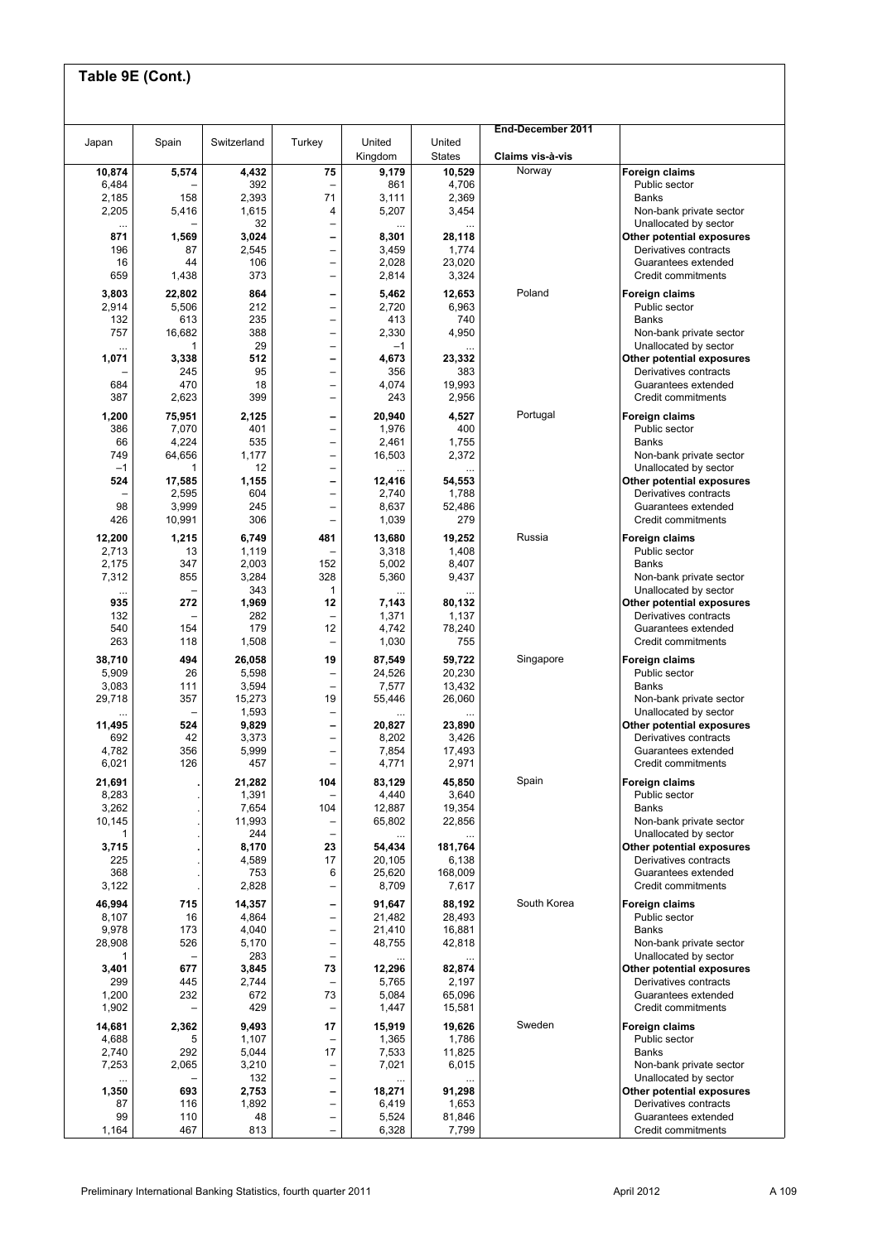|                   |                 |                 |                                                      |                   |                         | End-December 2011 |                                                    |
|-------------------|-----------------|-----------------|------------------------------------------------------|-------------------|-------------------------|-------------------|----------------------------------------------------|
| Japan             | Spain           | Switzerland     | Turkey                                               | United<br>Kingdom | United<br><b>States</b> | Claims vis-à-vis  |                                                    |
| 10,874<br>6,484   | 5,574           | 4,432<br>392    | 75                                                   | 9,179<br>861      | 10,529<br>4,706         | Norway            | Foreign claims<br>Public sector                    |
| 2,185             | 158<br>5,416    | 2,393           | 71                                                   | 3,111<br>5,207    | 2,369                   |                   | <b>Banks</b>                                       |
| 2,205<br>         |                 | 1,615<br>32     | 4<br>-                                               |                   | 3,454                   |                   | Non-bank private sector<br>Unallocated by sector   |
| 871<br>196        | 1,569<br>87     | 3,024<br>2,545  | -<br>$\overline{a}$                                  | 8,301<br>3,459    | 28,118<br>1,774         |                   | Other potential exposures<br>Derivatives contracts |
| 16<br>659         | 44<br>1,438     | 106<br>373      | -<br>$\qquad \qquad -$                               | 2,028<br>2,814    | 23,020<br>3,324         |                   | Guarantees extended<br>Credit commitments          |
| 3,803             | 22,802          | 864             | $\qquad \qquad$                                      | 5,462             | 12,653                  | Poland            | Foreign claims                                     |
| 2,914<br>132      | 5,506<br>613    | 212<br>235      | -<br>$\overline{\phantom{0}}$                        | 2,720<br>413      | 6,963<br>740            |                   | Public sector<br><b>Banks</b>                      |
| 757               | 16,682          | 388             | $\overline{\phantom{0}}$                             | 2,330             | 4,950                   |                   | Non-bank private sector                            |
| $\cdots$<br>1,071 | 1<br>3,338      | 29<br>512       | $\overline{\phantom{0}}$<br>-                        | $-1$<br>4,673     | 23,332                  |                   | Unallocated by sector<br>Other potential exposures |
| 684               | 245<br>470      | 95<br>18        | -<br>$\qquad \qquad -$                               | 356<br>4,074      | 383<br>19,993           |                   | Derivatives contracts<br>Guarantees extended       |
| 387               | 2,623           | 399             | $\overline{\phantom{0}}$                             | 243               | 2,956                   |                   | Credit commitments                                 |
| 1,200<br>386      | 75,951<br>7,070 | 2,125<br>401    | $\qquad \qquad$<br>$\qquad \qquad -$                 | 20,940<br>1,976   | 4,527<br>400            | Portugal          | <b>Foreign claims</b><br>Public sector             |
| 66                | 4,224           | 535             | $\qquad \qquad -$                                    | 2,461             | 1,755                   |                   | <b>Banks</b>                                       |
| 749<br>$-1$       | 64,656<br>1     | 1,177<br>12     | $\qquad \qquad -$<br>$\overline{\phantom{0}}$        | 16,503            | 2,372                   |                   | Non-bank private sector<br>Unallocated by sector   |
| 524               | 17,585<br>2,595 | 1,155<br>604    | $\qquad \qquad -$<br>$\overline{\phantom{0}}$        | 12,416<br>2,740   | 54,553<br>1,788         |                   | Other potential exposures<br>Derivatives contracts |
| 98<br>426         | 3,999           | 245<br>306      | -<br>$\overline{\phantom{0}}$                        | 8,637             | 52,486<br>279           |                   | Guarantees extended<br>Credit commitments          |
| 12,200            | 10,991<br>1,215 | 6,749           | 481                                                  | 1,039<br>13,680   | 19,252                  | Russia            | Foreign claims                                     |
| 2,713             | 13              | 1,119           |                                                      | 3,318             | 1,408                   |                   | Public sector                                      |
| 2,175<br>7,312    | 347<br>855      | 2,003<br>3,284  | 152<br>328                                           | 5,002<br>5,360    | 8,407<br>9,437          |                   | <b>Banks</b><br>Non-bank private sector            |
| $\ddotsc$<br>935  | 272             | 343<br>1,969    | 1<br>12                                              | 7,143             | 80,132                  |                   | Unallocated by sector<br>Other potential exposures |
| 132<br>540        | 154             | 282<br>179      | 12                                                   | 1,371<br>4,742    | 1,137<br>78,240         |                   | Derivatives contracts<br>Guarantees extended       |
| 263               | 118             | 1,508           | -                                                    | 1,030             | 755                     |                   | Credit commitments                                 |
| 38,710<br>5,909   | 494<br>26       | 26,058<br>5,598 | 19<br>$\overline{\phantom{0}}$                       | 87,549<br>24,526  | 59,722<br>20,230        | Singapore         | Foreign claims<br>Public sector                    |
| 3,083             | 111             | 3,594           | $\overline{\phantom{0}}$<br>19                       | 7,577             | 13,432                  |                   | <b>Banks</b>                                       |
| 29,718            | 357<br>÷        | 15,273<br>1,593 | -                                                    | 55,446            | 26,060                  |                   | Non-bank private sector<br>Unallocated by sector   |
| 11,495<br>692     | 524<br>42       | 9,829<br>3,373  | -<br>-                                               | 20,827<br>8,202   | 23,890<br>3,426         |                   | Other potential exposures<br>Derivatives contracts |
| 4,782<br>6,021    | 356<br>126      | 5,999<br>457    | $\qquad \qquad -$<br>-                               | 7,854<br>4,771    | 17,493<br>2,971         |                   | Guarantees extended<br>Credit commitments          |
| 21,691            |                 | 21,282          | 104                                                  | 83,129            | 45,850                  | Spain             | Foreign claims                                     |
| 8,283<br>3,262    |                 | 1,391<br>7,654  | 104                                                  | 4,440<br>12,887   | 3,640<br>19,354         |                   | Public sector<br><b>Banks</b>                      |
| 10,145            |                 | 11,993          | -                                                    | 65,802            | 22,856                  |                   | Non-bank private sector                            |
| 1<br>3,715        |                 | 244<br>8,170    | $\qquad \qquad -$<br>23                              | 54,434            | 181,764                 |                   | Unallocated by sector<br>Other potential exposures |
| 225<br>368        |                 | 4,589<br>753    | 17<br>6                                              | 20,105<br>25,620  | 6,138<br>168,009        |                   | Derivatives contracts<br>Guarantees extended       |
| 3,122             |                 | 2,828           | $\overline{\phantom{0}}$                             | 8,709             | 7,617                   |                   | Credit commitments                                 |
| 46,994<br>8,107   | 715<br>16       | 14,357<br>4,864 | $\qquad \qquad \blacksquare$<br>$\overline{a}$       | 91,647<br>21,482  | 88,192<br>28,493        | South Korea       | Foreign claims<br>Public sector                    |
| 9,978<br>28,908   | 173<br>526      | 4,040<br>5,170  | $\overline{\phantom{0}}$<br>$\overline{a}$           | 21,410<br>48,755  | 16,881<br>42,818        |                   | <b>Banks</b><br>Non-bank private sector            |
|                   |                 | 283             | $\overline{\phantom{0}}$                             |                   |                         |                   | Unallocated by sector                              |
| 3,401<br>299      | 677<br>445      | 3,845<br>2,744  | 73                                                   | 12,296<br>5,765   | 82,874<br>2,197         |                   | Other potential exposures<br>Derivatives contracts |
| 1,200<br>1,902    | 232             | 672<br>429      | 73                                                   | 5,084<br>1,447    | 65,096<br>15,581        |                   | Guarantees extended<br>Credit commitments          |
| 14,681            | 2,362           | 9,493           | 17                                                   | 15,919            | 19,626                  | Sweden            | Foreign claims                                     |
| 4,688<br>2,740    | 5<br>292        | 1,107<br>5,044  | $\overline{\phantom{0}}$<br>17                       | 1,365<br>7,533    | 1,786<br>11,825         |                   | Public sector<br><b>Banks</b>                      |
| 7,253             | 2,065           | 3,210<br>132    | $\overline{\phantom{0}}$<br>$\overline{\phantom{0}}$ | 7,021             | 6,015                   |                   | Non-bank private sector<br>Unallocated by sector   |
| 1,350             | 693             | 2,753           | $\overline{\phantom{0}}$                             | 18,271            | 91,298                  |                   | Other potential exposures                          |
| 87<br>99          | 116<br>110      | 1,892<br>48     | $\overline{\phantom{0}}$<br>$\overline{\phantom{0}}$ | 6,419<br>5,524    | 1,653<br>81,846         |                   | Derivatives contracts<br>Guarantees extended       |
| 1,164             | 467             | 813             | $\overline{\phantom{0}}$                             | 6,328             | 7,799                   |                   | Credit commitments                                 |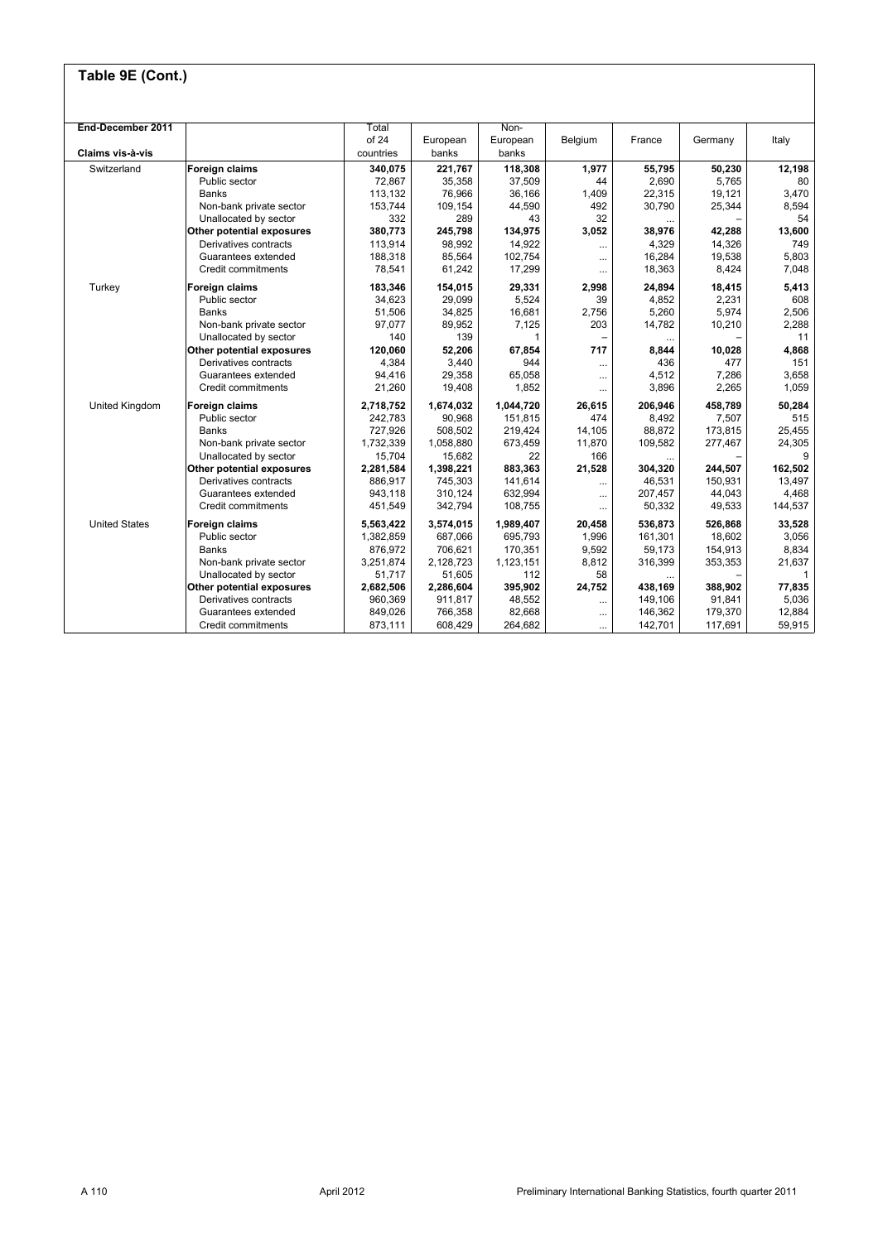| End-December 2011    |                           | Total     |           | Non-      |                          |          |         |              |
|----------------------|---------------------------|-----------|-----------|-----------|--------------------------|----------|---------|--------------|
|                      |                           | of 24     | European  | European  | Belgium                  | France   | Germany | Italy        |
| Claims vis-à-vis     |                           | countries | banks     | banks     |                          |          |         |              |
| Switzerland          | <b>Foreign claims</b>     | 340.075   | 221.767   | 118,308   | 1.977                    | 55,795   | 50,230  | 12,198       |
|                      | Public sector             | 72,867    | 35,358    | 37,509    | 44                       | 2,690    | 5,765   | 80           |
|                      | <b>Banks</b>              | 113.132   | 76,966    | 36.166    | 1,409                    | 22.315   | 19.121  | 3.470        |
|                      | Non-bank private sector   | 153,744   | 109,154   | 44,590    | 492                      | 30,790   | 25,344  | 8,594        |
|                      | Unallocated by sector     | 332       | 289       | 43        | 32                       |          |         | 54           |
|                      | Other potential exposures | 380,773   | 245,798   | 134,975   | 3,052                    | 38,976   | 42,288  | 13,600       |
|                      | Derivatives contracts     | 113,914   | 98,992    | 14,922    | $\cdots$                 | 4,329    | 14,326  | 749          |
|                      | Guarantees extended       | 188,318   | 85,564    | 102,754   | $\cdots$                 | 16,284   | 19,538  | 5,803        |
|                      | Credit commitments        | 78,541    | 61,242    | 17,299    |                          | 18,363   | 8,424   | 7.048        |
| Turkey               | <b>Foreign claims</b>     | 183,346   | 154,015   | 29,331    | 2,998                    | 24,894   | 18,415  | 5,413        |
|                      | Public sector             | 34,623    | 29,099    | 5,524     | 39                       | 4,852    | 2,231   | 608          |
|                      | Banks                     | 51,506    | 34,825    | 16,681    | 2,756                    | 5,260    | 5,974   | 2,506        |
|                      | Non-bank private sector   | 97,077    | 89,952    | 7,125     | 203                      | 14,782   | 10,210  | 2,288        |
|                      | Unallocated by sector     | 140       | 139       | 1         | $\overline{\phantom{0}}$ | $\cdots$ |         | 11           |
|                      | Other potential exposures | 120,060   | 52,206    | 67,854    | 717                      | 8,844    | 10,028  | 4,868        |
|                      | Derivatives contracts     | 4,384     | 3,440     | 944       | $\cdots$                 | 436      | 477     | 151          |
|                      | Guarantees extended       | 94,416    | 29,358    | 65,058    |                          | 4,512    | 7,286   | 3,658        |
|                      | Credit commitments        | 21,260    | 19,408    | 1.852     |                          | 3,896    | 2,265   | 1.059        |
| United Kingdom       | <b>Foreign claims</b>     | 2,718,752 | 1,674,032 | 1,044,720 | 26,615                   | 206,946  | 458,789 | 50,284       |
|                      | Public sector             | 242.783   | 90,968    | 151,815   | 474                      | 8,492    | 7,507   | 515          |
|                      | Banks                     | 727,926   | 508,502   | 219.424   | 14.105                   | 88,872   | 173.815 | 25.455       |
|                      | Non-bank private sector   | 1,732,339 | 1,058,880 | 673,459   | 11,870                   | 109,582  | 277,467 | 24,305       |
|                      | Unallocated by sector     | 15,704    | 15,682    | 22        | 166                      |          |         | 9            |
|                      | Other potential exposures | 2,281,584 | 1,398,221 | 883,363   | 21,528                   | 304,320  | 244,507 | 162,502      |
|                      | Derivatives contracts     | 886.917   | 745,303   | 141,614   | $\cdots$                 | 46.531   | 150,931 | 13.497       |
|                      | Guarantees extended       | 943,118   | 310,124   | 632,994   | $\cdots$                 | 207,457  | 44,043  | 4,468        |
|                      | Credit commitments        | 451,549   | 342,794   | 108,755   | $\cdots$                 | 50,332   | 49,533  | 144,537      |
| <b>United States</b> | <b>Foreign claims</b>     | 5,563,422 | 3,574,015 | 1,989,407 | 20,458                   | 536.873  | 526.868 | 33.528       |
|                      | Public sector             | 1,382,859 | 687,066   | 695,793   | 1,996                    | 161,301  | 18,602  | 3,056        |
|                      | Banks                     | 876,972   | 706,621   | 170,351   | 9,592                    | 59,173   | 154,913 | 8,834        |
|                      | Non-bank private sector   | 3,251,874 | 2,128,723 | 1,123,151 | 8,812                    | 316,399  | 353,353 | 21,637       |
|                      | Unallocated by sector     | 51.717    | 51,605    | 112       | 58                       | $\cdots$ |         | $\mathbf{1}$ |
|                      | Other potential exposures | 2,682,506 | 2,286,604 | 395,902   | 24,752                   | 438,169  | 388,902 | 77,835       |
|                      | Derivatives contracts     | 960,369   | 911,817   | 48,552    | $\cdots$                 | 149,106  | 91,841  | 5,036        |
|                      | Guarantees extended       | 849,026   | 766,358   | 82,668    |                          | 146,362  | 179,370 | 12,884       |
|                      | Credit commitments        | 873,111   | 608,429   | 264,682   |                          | 142,701  | 117,691 | 59,915       |